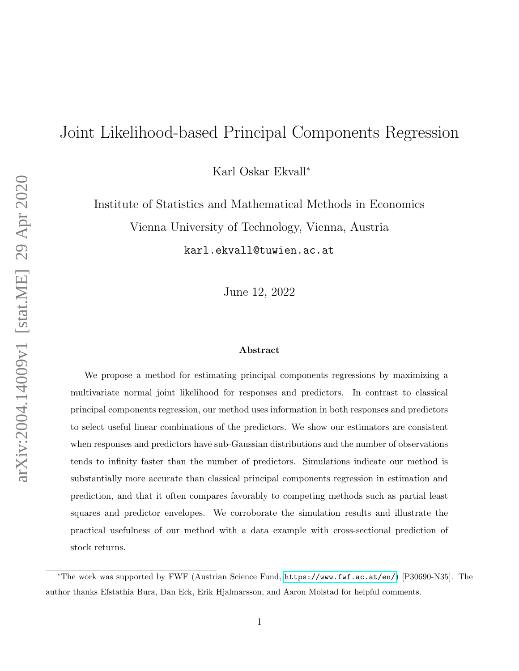# Joint Likelihood-based Principal Components Regression

Karl Oskar Ekvall<sup>∗</sup>

Institute of Statistics and Mathematical Methods in Economics Vienna University of Technology, Vienna, Austria karl.ekvall@tuwien.ac.at

June 12, 2022

#### Abstract

We propose a method for estimating principal components regressions by maximizing a multivariate normal joint likelihood for responses and predictors. In contrast to classical principal components regression, our method uses information in both responses and predictors to select useful linear combinations of the predictors. We show our estimators are consistent when responses and predictors have sub-Gaussian distributions and the number of observations tends to infinity faster than the number of predictors. Simulations indicate our method is substantially more accurate than classical principal components regression in estimation and prediction, and that it often compares favorably to competing methods such as partial least squares and predictor envelopes. We corroborate the simulation results and illustrate the practical usefulness of our method with a data example with cross-sectional prediction of stock returns.

<sup>∗</sup>The work was supported by FWF (Austrian Science Fund, <https://www.fwf.ac.at/en/>) [P30690-N35]. The author thanks Efstathia Bura, Dan Eck, Erik Hjalmarsson, and Aaron Molstad for helpful comments.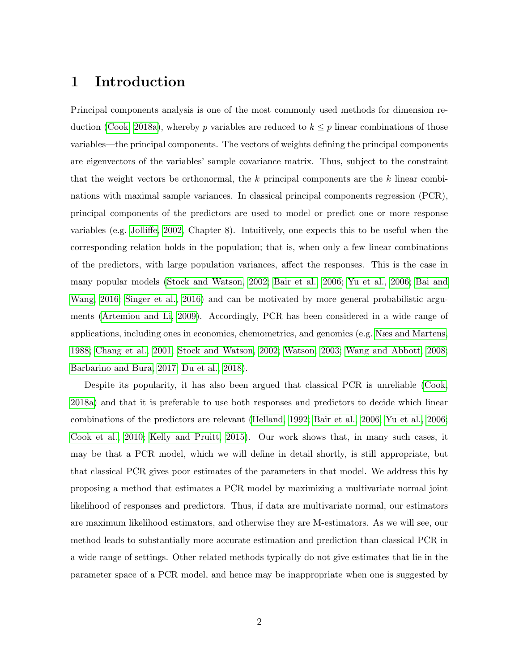### 1 Introduction

Principal components analysis is one of the most commonly used methods for dimension re-duction [\(Cook, 2018a\)](#page-32-0), whereby p variables are reduced to  $k \leq p$  linear combinations of those variables—the principal components. The vectors of weights defining the principal components are eigenvectors of the variables' sample covariance matrix. Thus, subject to the constraint that the weight vectors be orthonormal, the k principal components are the k linear combinations with maximal sample variances. In classical principal components regression (PCR), principal components of the predictors are used to model or predict one or more response variables (e.g. [Jolliffe, 2002,](#page-33-0) Chapter 8). Intuitively, one expects this to be useful when the corresponding relation holds in the population; that is, when only a few linear combinations of the predictors, with large population variances, affect the responses. This is the case in many popular models [\(Stock and Watson, 2002;](#page-34-0) [Bair et al., 2006;](#page-31-0) [Yu et al., 2006;](#page-34-1) [Bai and](#page-31-1) [Wang, 2016;](#page-31-1) [Singer et al., 2016\)](#page-34-2) and can be motivated by more general probabilistic arguments [\(Artemiou and Li, 2009\)](#page-31-2). Accordingly, PCR has been considered in a wide range of applications, including ones in economics, chemometrics, and genomics (e.g. [Næs and Martens,](#page-33-1) [1988;](#page-33-1) [Chang et al., 2001;](#page-32-1) [Stock and Watson, 2002;](#page-34-0) [Watson, 2003;](#page-34-3) [Wang and Abbott, 2008;](#page-34-4) [Barbarino and Bura, 2017;](#page-32-2) [Du et al., 2018\)](#page-33-2).

Despite its popularity, it has also been argued that classical PCR is unreliable [\(Cook,](#page-32-0) [2018a\)](#page-32-0) and that it is preferable to use both responses and predictors to decide which linear combinations of the predictors are relevant [\(Helland, 1992;](#page-33-3) [Bair et al., 2006;](#page-31-0) [Yu et al., 2006;](#page-34-1) [Cook et al., 2010;](#page-32-3) [Kelly and Pruitt, 2015\)](#page-33-4). Our work shows that, in many such cases, it may be that a PCR model, which we will define in detail shortly, is still appropriate, but that classical PCR gives poor estimates of the parameters in that model. We address this by proposing a method that estimates a PCR model by maximizing a multivariate normal joint likelihood of responses and predictors. Thus, if data are multivariate normal, our estimators are maximum likelihood estimators, and otherwise they are M-estimators. As we will see, our method leads to substantially more accurate estimation and prediction than classical PCR in a wide range of settings. Other related methods typically do not give estimates that lie in the parameter space of a PCR model, and hence may be inappropriate when one is suggested by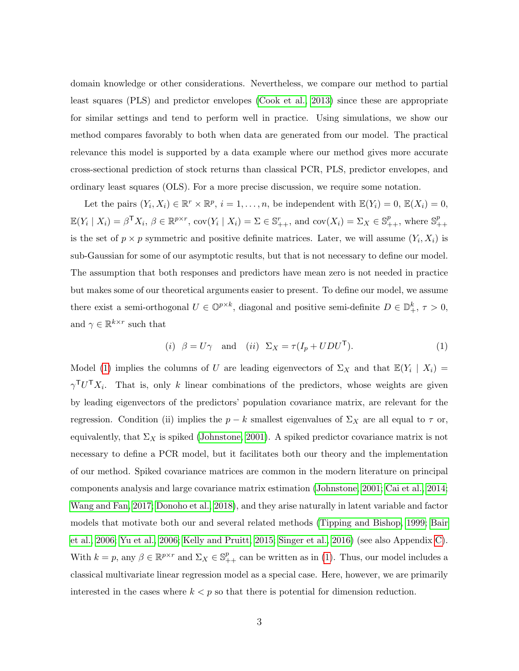domain knowledge or other considerations. Nevertheless, we compare our method to partial least squares (PLS) and predictor envelopes [\(Cook et al., 2013\)](#page-32-4) since these are appropriate for similar settings and tend to perform well in practice. Using simulations, we show our method compares favorably to both when data are generated from our model. The practical relevance this model is supported by a data example where our method gives more accurate cross-sectional prediction of stock returns than classical PCR, PLS, predictor envelopes, and ordinary least squares (OLS). For a more precise discussion, we require some notation.

Let the pairs  $(Y_i, X_i) \in \mathbb{R}^r \times \mathbb{R}^p$ ,  $i = 1, \ldots, n$ , be independent with  $\mathbb{E}(Y_i) = 0$ ,  $\mathbb{E}(X_i) = 0$ ,  $\mathbb{E}(Y_i \mid X_i) = \beta^{\mathsf{T}} X_i, \ \beta \in \mathbb{R}^{p \times r}, \ \text{cov}(Y_i \mid X_i) = \Sigma \in \mathbb{S}_{++}^r, \ \text{and} \ \text{cov}(X_i) = \Sigma_X \in \mathbb{S}_{++}^p, \ \text{where} \ \mathbb{S}_{++}^p$ ++ is the set of  $p \times p$  symmetric and positive definite matrices. Later, we will assume  $(Y_i, X_i)$  is sub-Gaussian for some of our asymptotic results, but that is not necessary to define our model. The assumption that both responses and predictors have mean zero is not needed in practice but makes some of our theoretical arguments easier to present. To define our model, we assume there exist a semi-orthogonal  $U \in \mathbb{O}^{p \times k}$ , diagonal and positive semi-definite  $D \in \mathbb{D}^k_+$ ,  $\tau > 0$ , and  $\gamma \in \mathbb{R}^{k \times r}$  such that

<span id="page-2-0"></span>
$$
(i) \quad \beta = U\gamma \quad \text{and} \quad (ii) \quad \Sigma_X = \tau (I_p + UDU^{\mathsf{T}}). \tag{1}
$$

Model [\(1\)](#page-2-0) implies the columns of U are leading eigenvectors of  $\Sigma_X$  and that  $\mathbb{E}(Y_i | X_i) =$  $\gamma^{\mathsf{T}}U^{\mathsf{T}}X_i$ . That is, only k linear combinations of the predictors, whose weights are given by leading eigenvectors of the predictors' population covariance matrix, are relevant for the regression. Condition (ii) implies the  $p - k$  smallest eigenvalues of  $\Sigma_X$  are all equal to  $\tau$  or, equivalently, that  $\Sigma_X$  is spiked [\(Johnstone, 2001\)](#page-33-5). A spiked predictor covariance matrix is not necessary to define a PCR model, but it facilitates both our theory and the implementation of our method. Spiked covariance matrices are common in the modern literature on principal components analysis and large covariance matrix estimation [\(Johnstone, 2001;](#page-33-5) [Cai et al., 2014;](#page-32-5) [Wang and Fan, 2017;](#page-34-5) [Donoho et al., 2018\)](#page-32-6), and they arise naturally in latent variable and factor models that motivate both our and several related methods [\(Tipping and Bishop, 1999;](#page-34-6) [Bair](#page-31-0) [et al., 2006;](#page-31-0) [Yu et al., 2006;](#page-34-1) [Kelly and Pruitt, 2015;](#page-33-4) [Singer et al., 2016\)](#page-34-2) (see also Appendix [C\)](#page-30-0). With  $k = p$ , any  $\beta \in \mathbb{R}^{p \times r}$  and  $\Sigma_X \in \mathbb{S}^p_{++}$  can be written as in [\(1\)](#page-2-0). Thus, our model includes a classical multivariate linear regression model as a special case. Here, however, we are primarily interested in the cases where  $k < p$  so that there is potential for dimension reduction.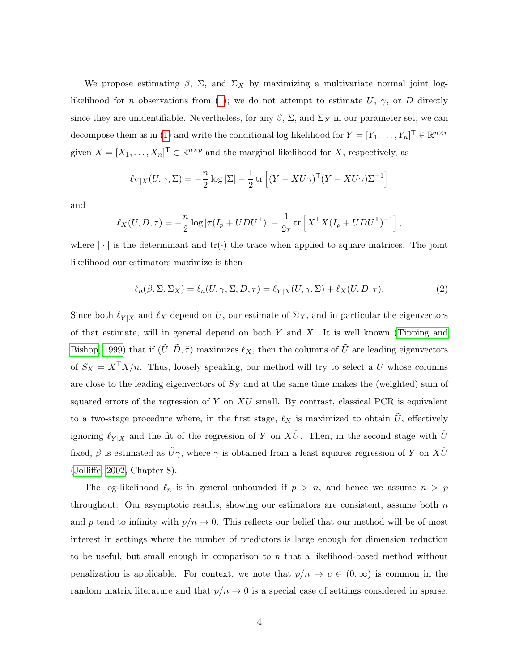We propose estimating  $\beta$ ,  $\Sigma$ , and  $\Sigma_X$  by maximizing a multivariate normal joint log-likelihood for n observations from [\(1\)](#page-2-0); we do not attempt to estimate U,  $\gamma$ , or D directly since they are unidentifiable. Nevertheless, for any  $\beta$ ,  $\Sigma$ , and  $\Sigma_X$  in our parameter set, we can decompose them as in [\(1\)](#page-2-0) and write the conditional log-likelihood for  $Y = [Y_1, \ldots, Y_n]^\mathsf{T} \in \mathbb{R}^{n \times r}$ given  $X = [X_1, \ldots, X_n]^\mathsf{T} \in \mathbb{R}^{n \times p}$  and the marginal likelihood for X, respectively, as

$$
\ell_{Y|X}(U,\gamma,\Sigma) = -\frac{n}{2}\log|\Sigma| - \frac{1}{2}\operatorname{tr}\left[ (Y - XU\gamma)^{\mathsf{T}}(Y - XU\gamma)\Sigma^{-1} \right]
$$

and

$$
\ell_X(U, D, \tau) = -\frac{n}{2} \log |\tau(I_p + UDU^{\mathsf{T}})| - \frac{1}{2\tau} \operatorname{tr} \left[ X^{\mathsf{T}} X (I_p + UDU^{\mathsf{T}})^{-1} \right],
$$

where  $|\cdot|$  is the determinant and  $tr(\cdot)$  the trace when applied to square matrices. The joint likelihood our estimators maximize is then

<span id="page-3-0"></span>
$$
\ell_n(\beta, \Sigma, \Sigma_X) = \ell_n(U, \gamma, \Sigma, D, \tau) = \ell_{Y|X}(U, \gamma, \Sigma) + \ell_X(U, D, \tau).
$$
\n(2)

Since both  $\ell_{Y|X}$  and  $\ell_X$  depend on U, our estimate of  $\Sigma_X$ , and in particular the eigenvectors of that estimate, will in general depend on both  $Y$  and  $X$ . It is well known [\(Tipping and](#page-34-6) [Bishop, 1999\)](#page-34-6) that if  $(\tilde{U}, \tilde{D}, \tilde{\tau})$  maximizes  $\ell_X$ , then the columns of  $\tilde{U}$  are leading eigenvectors of  $S_X = X^{\mathsf{T}}X/n$ . Thus, loosely speaking, our method will try to select a U whose columns are close to the leading eigenvectors of  $S_X$  and at the same time makes the (weighted) sum of squared errors of the regression of Y on  $XU$  small. By contrast, classical PCR is equivalent to a two-stage procedure where, in the first stage,  $\ell_X$  is maximized to obtain  $\tilde{U}$ , effectively ignoring  $\ell_{Y|X}$  and the fit of the regression of Y on  $X\tilde{U}$ . Then, in the second stage with  $\tilde{U}$ fixed,  $\beta$  is estimated as  $\tilde{U}\tilde{\gamma}$ , where  $\tilde{\gamma}$  is obtained from a least squares regression of Y on  $X\tilde{U}$ [\(Jolliffe, 2002,](#page-33-0) Chapter 8).

The log-likelihood  $\ell_n$  is in general unbounded if  $p > n$ , and hence we assume  $n > p$ throughout. Our asymptotic results, showing our estimators are consistent, assume both  $n$ and p tend to infinity with  $p/n \to 0$ . This reflects our belief that our method will be of most interest in settings where the number of predictors is large enough for dimension reduction to be useful, but small enough in comparison to n that a likelihood-based method without penalization is applicable. For context, we note that  $p/n \to c \in (0,\infty)$  is common in the random matrix literature and that  $p/n \to 0$  is a special case of settings considered in sparse,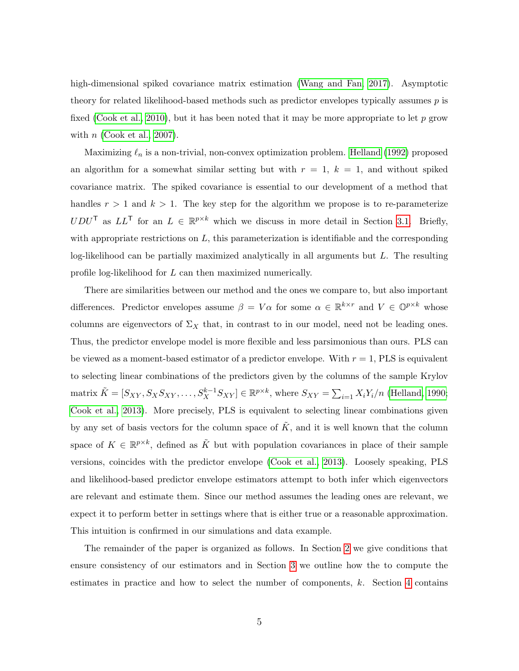high-dimensional spiked covariance matrix estimation [\(Wang and Fan, 2017\)](#page-34-5). Asymptotic theory for related likelihood-based methods such as predictor envelopes typically assumes p is fixed [\(Cook et al., 2010\)](#page-32-3), but it has been noted that it may be more appropriate to let p grow with  $n$  [\(Cook et al., 2007\)](#page-32-7).

Maximizing  $\ell_n$  is a non-trivial, non-convex optimization problem. [Helland \(1992\)](#page-33-3) proposed an algorithm for a somewhat similar setting but with  $r = 1$ ,  $k = 1$ , and without spiked covariance matrix. The spiked covariance is essential to our development of a method that handles  $r > 1$  and  $k > 1$ . The key step for the algorithm we propose is to re-parameterize  $UDU^{\mathsf{T}}$  as  $LL^{\mathsf{T}}$  for an  $L \in \mathbb{R}^{p \times k}$  which we discuss in more detail in Section [3.1.](#page-11-0) Briefly, with appropriate restrictions on  $L$ , this parameterization is identifiable and the corresponding log-likelihood can be partially maximized analytically in all arguments but  $L$ . The resulting profile log-likelihood for L can then maximized numerically.

There are similarities between our method and the ones we compare to, but also important differences. Predictor envelopes assume  $\beta = V\alpha$  for some  $\alpha \in \mathbb{R}^{k \times r}$  and  $V \in \mathbb{O}^{p \times k}$  whose columns are eigenvectors of  $\Sigma_X$  that, in contrast to in our model, need not be leading ones. Thus, the predictor envelope model is more flexible and less parsimonious than ours. PLS can be viewed as a moment-based estimator of a predictor envelope. With  $r = 1$ , PLS is equivalent to selecting linear combinations of the predictors given by the columns of the sample Krylov matrix  $\tilde{K} = [S_{XY}, S_X S_{XY}, \dots, S_X^{k-1} S_{XY}] \in \mathbb{R}^{p \times k}$ , where  $S_{XY} = \sum_{i=1} X_i Y_i/n$  [\(Helland, 1990;](#page-33-6) [Cook et al., 2013\)](#page-32-4). More precisely, PLS is equivalent to selecting linear combinations given by any set of basis vectors for the column space of  $\tilde{K}$ , and it is well known that the column space of  $K \in \mathbb{R}^{p \times k}$ , defined as  $\tilde{K}$  but with population covariances in place of their sample versions, coincides with the predictor envelope [\(Cook et al., 2013\)](#page-32-4). Loosely speaking, PLS and likelihood-based predictor envelope estimators attempt to both infer which eigenvectors are relevant and estimate them. Since our method assumes the leading ones are relevant, we expect it to perform better in settings where that is either true or a reasonable approximation. This intuition is confirmed in our simulations and data example.

The remainder of the paper is organized as follows. In Section [2](#page-5-0) we give conditions that ensure consistency of our estimators and in Section [3](#page-11-1) we outline how the to compute the estimates in practice and how to select the number of components, k. Section [4](#page-12-0) contains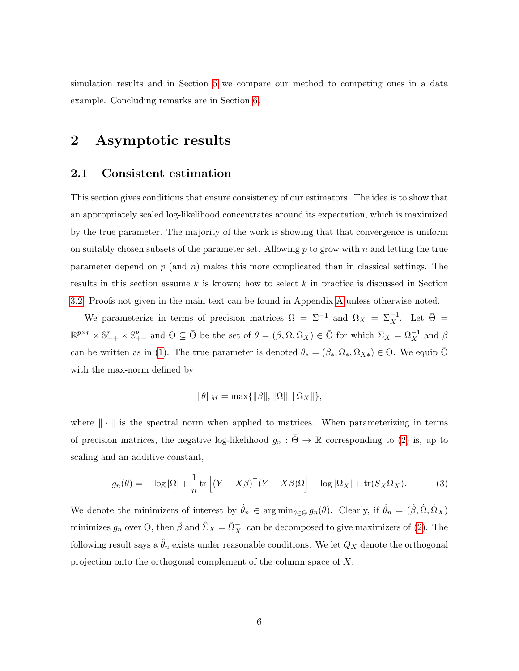simulation results and in Section [5](#page-16-0) we compare our method to competing ones in a data example. Concluding remarks are in Section [6.](#page-19-0)

### <span id="page-5-0"></span>2 Asymptotic results

### 2.1 Consistent estimation

This section gives conditions that ensure consistency of our estimators. The idea is to show that an appropriately scaled log-likelihood concentrates around its expectation, which is maximized by the true parameter. The majority of the work is showing that that convergence is uniform on suitably chosen subsets of the parameter set. Allowing  $p$  to grow with  $n$  and letting the true parameter depend on  $p$  (and  $n$ ) makes this more complicated than in classical settings. The results in this section assume  $k$  is known; how to select  $k$  in practice is discussed in Section [3.2.](#page-12-1) Proofs not given in the main text can be found in Appendix [A](#page-21-0) unless otherwise noted.

We parameterize in terms of precision matrices  $\Omega = \Sigma^{-1}$  and  $\Omega_X = \Sigma_X^{-1}$ . Let  $\bar{\Theta} =$  $\mathbb{R}^{p\times r} \times \mathbb{S}_{++}^r \times \mathbb{S}_{++}^p$  and  $\Theta \subseteq \overline{\Theta}$  be the set of  $\theta = (\beta, \Omega, \Omega_X) \in \overline{\Theta}$  for which  $\Sigma_X = \Omega_X^{-1}$  and  $\beta$ can be written as in [\(1\)](#page-2-0). The true parameter is denoted  $\theta_* = (\beta_*, \Omega_*, \Omega_{X*}) \in \Theta$ . We equip  $\overline{\Theta}$ with the max-norm defined by

<span id="page-5-1"></span>
$$
\|\theta\|_M = \max\{\|\beta\|, \|\Omega\|, \|\Omega_X\|\},\
$$

where  $\|\cdot\|$  is the spectral norm when applied to matrices. When parameterizing in terms of precision matrices, the negative log-likelihood  $g_n : \overline{\Theta} \to \mathbb{R}$  corresponding to [\(2\)](#page-3-0) is, up to scaling and an additive constant,

$$
g_n(\theta) = -\log |\Omega| + \frac{1}{n} \operatorname{tr} \left[ (Y - X\beta)^{\mathsf{T}} (Y - X\beta) \Omega \right] - \log |\Omega_X| + \operatorname{tr}(S_X \Omega_X). \tag{3}
$$

We denote the minimizers of interest by  $\hat{\theta}_n \in \arg \min_{\theta \in \Theta} g_n(\theta)$ . Clearly, if  $\hat{\theta}_n = (\hat{\beta}, \hat{\Omega}, \hat{\Omega}_X)$ minimizes  $g_n$  over  $\Theta$ , then  $\hat{\beta}$  and  $\hat{\Sigma}_X = \hat{\Omega}_X^{-1}$  can be decomposed to give maximizers of [\(2\)](#page-3-0). The following result says a  $\hat{\theta}_n$  exists under reasonable conditions. We let  $Q_X$  denote the orthogonal projection onto the orthogonal complement of the column space of X.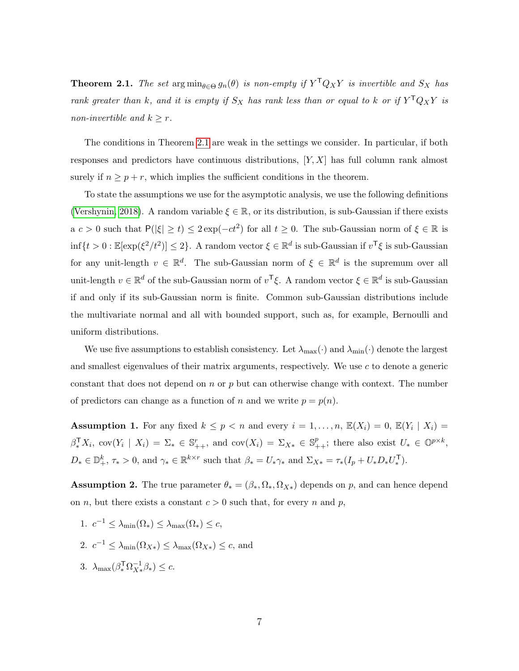<span id="page-6-0"></span>**Theorem 2.1.** The set  $\arg\min_{\theta \in \Theta} g_n(\theta)$  is non-empty if  $Y^{\mathsf{T}}Q_XY$  is invertible and  $S_X$  has rank greater than k, and it is empty if  $S_X$  has rank less than or equal to k or if  $Y^{\mathsf{T}} Q_X Y$  is non-invertible and  $k \geq r$ .

The conditions in Theorem [2.1](#page-6-0) are weak in the settings we consider. In particular, if both responses and predictors have continuous distributions,  $[Y, X]$  has full column rank almost surely if  $n \geq p + r$ , which implies the sufficient conditions in the theorem.

To state the assumptions we use for the asymptotic analysis, we use the following definitions [\(Vershynin, 2018\)](#page-34-7). A random variable  $\xi \in \mathbb{R}$ , or its distribution, is sub-Gaussian if there exists  $a c > 0$  such that  $P(|\xi| \ge t) \le 2 \exp(-ct^2)$  for all  $t \ge 0$ . The sub-Gaussian norm of  $\xi \in \mathbb{R}$  is  $\inf\{t>0:\mathbb{E}[\exp(\xi^2/t^2)]\leq 2\}$ . A random vector  $\xi \in \mathbb{R}^d$  is sub-Gaussian if  $v^{\mathsf{T}}\xi$  is sub-Gaussian for any unit-length  $v \in \mathbb{R}^d$ . The sub-Gaussian norm of  $\xi \in \mathbb{R}^d$  is the supremum over all unit-length  $v \in \mathbb{R}^d$  of the sub-Gaussian norm of  $v^{\mathsf{T}}\xi$ . A random vector  $\xi \in \mathbb{R}^d$  is sub-Gaussian if and only if its sub-Gaussian norm is finite. Common sub-Gaussian distributions include the multivariate normal and all with bounded support, such as, for example, Bernoulli and uniform distributions.

We use five assumptions to establish consistency. Let  $\lambda_{\max}(\cdot)$  and  $\lambda_{\min}(\cdot)$  denote the largest and smallest eigenvalues of their matrix arguments, respectively. We use  $c$  to denote a generic constant that does not depend on n or p but can otherwise change with context. The number of predictors can change as a function of n and we write  $p = p(n)$ .

<span id="page-6-2"></span>**Assumption 1.** For any fixed  $k \leq p < n$  and every  $i = 1, \ldots, n$ ,  $\mathbb{E}(X_i) = 0$ ,  $\mathbb{E}(Y_i | X_i) = 0$  $\beta_*^{\mathsf{T}} X_i$ ,  $\text{cov}(Y_i \mid X_i) = \Sigma_* \in \mathbb{S}_{++}^r$ , and  $\text{cov}(X_i) = \Sigma_{X*} \in \mathbb{S}_{++}^p$ ; there also exist  $U_* \in \mathbb{O}^{p \times k}$ ,  $D_* \in \mathbb{D}_+^k$ ,  $\tau_* > 0$ , and  $\gamma_* \in \mathbb{R}^{k \times r}$  such that  $\beta_* = U_* \gamma_*$  and  $\Sigma_{X*} = \tau_*(I_p + U_* D_* U_*^{\mathsf{T}})$ .

<span id="page-6-1"></span>**Assumption 2.** The true parameter  $\theta_* = (\beta_*, \Omega_*, \Omega_{X*})$  depends on p, and can hence depend on *n*, but there exists a constant  $c > 0$  such that, for every *n* and *p*,

- 1.  $c^{-1} \leq \lambda_{\min}(\Omega_*) \leq \lambda_{\max}(\Omega_*) \leq c$ ,
- 2.  $c^{-1} \leq \lambda_{\min}(\Omega_{X*}) \leq \lambda_{\max}(\Omega_{X*}) \leq c$ , and
- 3.  $\lambda_{\text{max}}(\beta_*^{\mathsf{T}} \Omega_{X*}^{-1})$  $\overline{X}^1_* \beta_* \geq c.$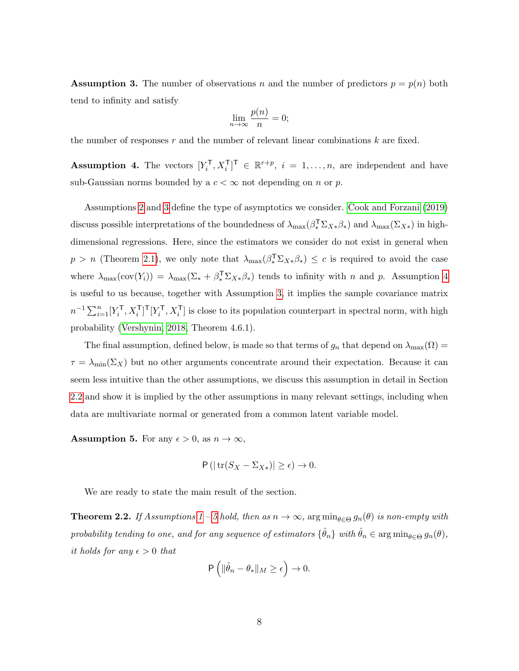<span id="page-7-0"></span>**Assumption 3.** The number of observations n and the number of predictors  $p = p(n)$  both tend to infinity and satisfy

$$
\lim_{n \to \infty} \frac{p(n)}{n} = 0;
$$

the number of responses r and the number of relevant linear combinations  $k$  are fixed.

<span id="page-7-1"></span>**Assumption 4.** The vectors  $[Y_i^{\mathsf{T}}, X_i^{\mathsf{T}}]^{\mathsf{T}} \in \mathbb{R}^{r+p}$ ,  $i = 1, \ldots, n$ , are independent and have sub-Gaussian norms bounded by a  $c < \infty$  not depending on n or p.

Assumptions [2](#page-6-1) and [3](#page-7-0) define the type of asymptotics we consider. [Cook and Forzani \(2019\)](#page-32-8) discuss possible interpretations of the boundedness of  $\lambda_{\max}(\beta_*^T \Sigma_{X*} \beta_*)$  and  $\lambda_{\max}(\Sigma_{X*})$  in highdimensional regressions. Here, since the estimators we consider do not exist in general when  $p > n$  (Theorem [2.1\)](#page-6-0), we only note that  $\lambda_{\max}(\beta_*^{\mathsf{T}} \Sigma_{X*} \beta_*) \leq c$  is required to avoid the case where  $\lambda_{\max}(\text{cov}(Y_i)) = \lambda_{\max}(\Sigma_* + \beta_*^T \Sigma_{X*} \beta_*)$  tends to infinity with *n* and *p*. Assumption [4](#page-7-1) is useful to us because, together with Assumption [3,](#page-7-0) it implies the sample covariance matrix  $n^{-1}\sum_{i=1}^n [Y_i^{\mathsf{T}}, X_i^{\mathsf{T}}]^{\mathsf{T}} [Y_i^{\mathsf{T}}, X_i^{\mathsf{T}}]$  is close to its population counterpart in spectral norm, with high probability [\(Vershynin, 2018,](#page-34-7) Theorem 4.6.1).

The final assumption, defined below, is made so that terms of  $g_n$  that depend on  $\lambda_{\max}(\Omega)$  $\tau = \lambda_{\min}(\Sigma_X)$  but no other arguments concentrate around their expectation. Because it can seem less intuitive than the other assumptions, we discuss this assumption in detail in Section [2.2](#page-9-0) and show it is implied by the other assumptions in many relevant settings, including when data are multivariate normal or generated from a common latent variable model.

<span id="page-7-2"></span>**Assumption 5.** For any  $\epsilon > 0$ , as  $n \to \infty$ ,

$$
\mathsf{P}\left(\left|\operatorname{tr}(S_X - \Sigma_{X*})\right| \geq \epsilon\right) \to 0.
$$

We are ready to state the main result of the section.

<span id="page-7-3"></span>**Theorem 2.2.** If Assumptions [1](#page-6-2) – [5](#page-7-2) hold, then as  $n \to \infty$ ,  $\arg \min_{\theta \in \Theta} g_n(\theta)$  is non-empty with probability tending to one, and for any sequence of estimators  $\{\hat{\theta}_n\}$  with  $\hat{\theta}_n \in \arg\min_{\theta \in \Theta} g_n(\theta)$ , it holds for any  $\epsilon > 0$  that

$$
\mathsf{P}\left(\|\hat{\theta}_n - \theta_*\|_M \geq \epsilon\right) \to 0.
$$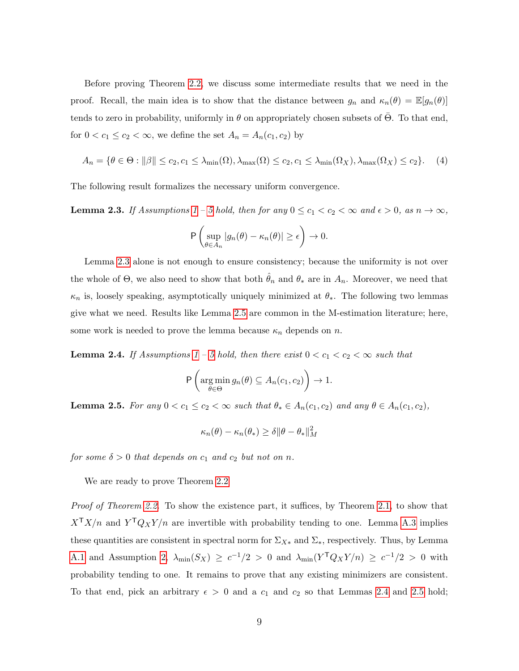Before proving Theorem [2.2,](#page-7-3) we discuss some intermediate results that we need in the proof. Recall, the main idea is to show that the distance between  $g_n$  and  $\kappa_n(\theta) = \mathbb{E}[g_n(\theta)]$ tends to zero in probability, uniformly in  $\theta$  on appropriately chosen subsets of  $\Theta$ . To that end, for  $0 < c_1 \le c_2 < \infty$ , we define the set  $A_n = A_n(c_1, c_2)$  by

$$
A_n = \{ \theta \in \Theta : ||\beta|| \le c_2, c_1 \le \lambda_{\min}(\Omega), \lambda_{\max}(\Omega) \le c_2, c_1 \le \lambda_{\min}(\Omega_X), \lambda_{\max}(\Omega_X) \le c_2 \}. \tag{4}
$$

The following result formalizes the necessary uniform convergence.

<span id="page-8-0"></span>**Lemma 2.3.** If Assumptions [1](#page-6-2) – [5](#page-7-2) hold, then for any  $0 \le c_1 < c_2 < \infty$  and  $\epsilon > 0$ , as  $n \to \infty$ ,

$$
\mathsf{P}\left(\sup_{\theta\in A_n}|g_n(\theta)-\kappa_n(\theta)|\geq\epsilon\right)\to 0.
$$

Lemma [2.3](#page-8-0) alone is not enough to ensure consistency; because the uniformity is not over the whole of  $\Theta$ , we also need to show that both  $\hat{\theta}_n$  and  $\theta_*$  are in  $A_n$ . Moreover, we need that  $\kappa_n$  is, loosely speaking, asymptotically uniquely minimized at  $\theta_*$ . The following two lemmas give what we need. Results like Lemma [2.5](#page-8-1) are common in the M-estimation literature; here, some work is needed to prove the lemma because  $\kappa_n$  depends on n.

<span id="page-8-2"></span>**Lemma 2.4.** If Assumptions [1](#page-6-2) – [5](#page-7-2) hold, then there exist  $0 < c_1 < c_2 < \infty$  such that

$$
P\left(\underset{\theta \in \Theta}{\arg\min} g_n(\theta) \subseteq A_n(c_1, c_2)\right) \to 1.
$$

<span id="page-8-1"></span>**Lemma 2.5.** For any  $0 < c_1 \leq c_2 < \infty$  such that  $\theta_* \in A_n(c_1, c_2)$  and any  $\theta \in A_n(c_1, c_2)$ ,

$$
\kappa_n(\theta)-\kappa_n(\theta_*)\geq \delta \|\theta-\theta_*\|_M^2
$$

for some  $\delta > 0$  that depends on  $c_1$  and  $c_2$  but not on n.

We are ready to prove Theorem [2.2](#page-7-3)

Proof of Theorem [2.2.](#page-7-3) To show the existence part, it suffices, by Theorem [2.1,](#page-6-0) to show that  $X^{\mathsf{T}}X/n$  and  $Y^{\mathsf{T}}Q_XY/n$  are invertible with probability tending to one. Lemma [A.3](#page-25-0) implies these quantities are consistent in spectral norm for  $\Sigma_{X*}$  and  $\Sigma_{*}$ , respectively. Thus, by Lemma [A.1](#page-22-0) and Assumption [2,](#page-6-1)  $\lambda_{\min}(S_X) \geq c^{-1/2} > 0$  and  $\lambda_{\min}(Y^{\mathsf{T}} Q_X Y/n) \geq c^{-1/2} > 0$  with probability tending to one. It remains to prove that any existing minimizers are consistent. To that end, pick an arbitrary  $\epsilon > 0$  and a  $c_1$  and  $c_2$  so that Lemmas [2.4](#page-8-2) and [2.5](#page-8-1) hold;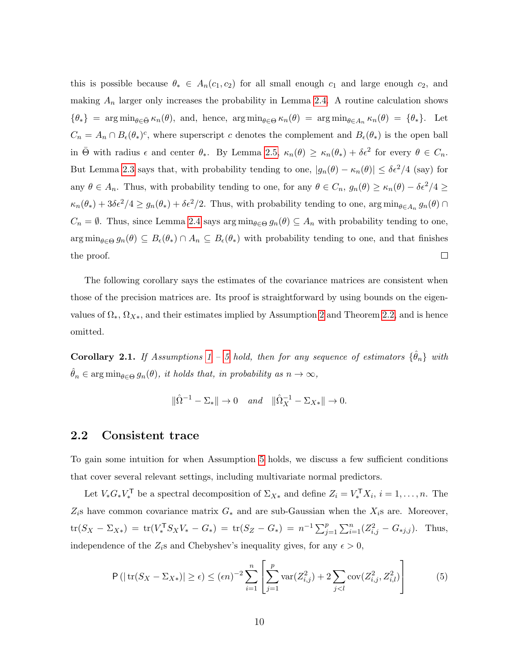this is possible because  $\theta_* \in A_n(c_1, c_2)$  for all small enough  $c_1$  and large enough  $c_2$ , and making  $A_n$  larger only increases the probability in Lemma [2.4.](#page-8-2) A routine calculation shows  ${\lbrace \theta_* \rbrace}$  = arg min<sub> $\theta \in \bar{\Theta}$ </sub>  $\kappa_n(\theta)$ , and, hence, arg min $\theta \in \Theta$   $\kappa_n(\theta)$  = arg min $\theta \in A_n$   $\kappa_n(\theta)$  =  ${\lbrace \theta_* \rbrace}$ . Let  $C_n = A_n \cap B_{\epsilon}(\theta_*)^c$ , where superscript c denotes the complement and  $B_{\epsilon}(\theta_*)$  is the open ball in  $\bar{\Theta}$  with radius  $\epsilon$  and center  $\theta_*$ . By Lemma [2.5,](#page-8-1)  $\kappa_n(\theta) \geq \kappa_n(\theta_*) + \delta \epsilon^2$  for every  $\theta \in C_n$ . But Lemma [2.3](#page-8-0) says that, with probability tending to one,  $|g_n(\theta) - \kappa_n(\theta)| \leq \delta \epsilon^2/4$  (say) for any  $\theta \in A_n$ . Thus, with probability tending to one, for any  $\theta \in C_n$ ,  $g_n(\theta) \ge \kappa_n(\theta) - \delta \epsilon^2/4 \ge$  $\kappa_n(\theta_*) + 3\delta\epsilon^2/4 \ge g_n(\theta_*) + \delta\epsilon^2/2$ . Thus, with probability tending to one,  $\arg\min_{\theta \in A_n} g_n(\theta) \cap$  $C_n = \emptyset$ . Thus, since Lemma [2.4](#page-8-2) says  $\arg \min_{\theta \in \Theta} g_n(\theta) \subseteq A_n$  with probability tending to one,  $\arg\min_{\theta \in \Theta} g_n(\theta) \subseteq B_{\epsilon}(\theta_*) \cap A_n \subseteq B_{\epsilon}(\theta_*)$  with probability tending to one, and that finishes the proof.  $\Box$ 

The following corollary says the estimates of the covariance matrices are consistent when those of the precision matrices are. Its proof is straightforward by using bounds on the eigenvalues of  $\Omega_*, \Omega_{X*}$ , and their estimates implied by Assumption [2](#page-6-1) and Theorem [2.2,](#page-7-3) and is hence omitted.

**Corollary 2.1.** If Assumptions [1](#page-6-2) – [5](#page-7-2) hold, then for any sequence of estimators  $\{\hat{\theta}_n\}$  with  $\hat{\theta}_n \in \arg\min_{\theta \in \Theta} g_n(\theta)$ , it holds that, in probability as  $n \to \infty$ ,

<span id="page-9-1"></span>
$$
\|\hat{\Omega}^{-1} - \Sigma_{*}\| \to 0 \quad and \quad \|\hat{\Omega}_{X}^{-1} - \Sigma_{X*}\| \to 0.
$$

#### <span id="page-9-0"></span>2.2 Consistent trace

To gain some intuition for when Assumption [5](#page-7-2) holds, we discuss a few sufficient conditions that cover several relevant settings, including multivariate normal predictors.

Let  $V_*G_*V_*^{\mathsf{T}}$  be a spectral decomposition of  $\Sigma_{X*}$  and define  $Z_i = V_*^{\mathsf{T}}X_i$ ,  $i = 1, ..., n$ . The  $Z_i$ s have common covariance matrix  $G_*$  and are sub-Gaussian when the  $X_i$ s are. Moreover,  $\text{tr}(S_X - \Sigma_{X*}) = \text{tr}(V_*^{\mathsf{T}} S_X V_* - G_*) = \text{tr}(S_Z - G_*) = n^{-1} \sum_{j=1}^p \sum_{i=1}^n (Z_{i,j}^2 - G_{*j,j}).$  Thus, independence of the  $Z_i$ s and Chebyshev's inequality gives, for any  $\epsilon > 0$ ,

$$
P(|tr(S_X - \Sigma_{X*})| \ge \epsilon) \le (\epsilon n)^{-2} \sum_{i=1}^n \left[ \sum_{j=1}^p \text{var}(Z_{i,j}^2) + 2 \sum_{j < l} \text{cov}(Z_{i,j}^2, Z_{i,l}^2) \right] \tag{5}
$$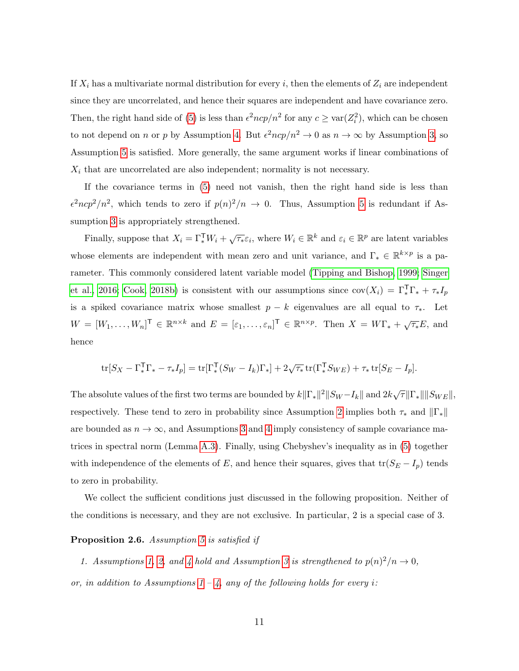If  $X_i$  has a multivariate normal distribution for every i, then the elements of  $Z_i$  are independent since they are uncorrelated, and hence their squares are independent and have covariance zero. Then, the right hand side of [\(5\)](#page-9-1) is less than  $\epsilon^2 n c p / n^2$  for any  $c \geq \text{var}(Z_i^2)$ , which can be chosen to not depend on *n* or *p* by Assumption [4.](#page-7-1) But  $\epsilon^2 n c p / n^2 \to 0$  as  $n \to \infty$  by Assumption [3,](#page-7-0) so Assumption [5](#page-7-2) is satisfied. More generally, the same argument works if linear combinations of  $X_i$  that are uncorrelated are also independent; normality is not necessary.

If the covariance terms in [\(5\)](#page-9-1) need not vanish, then the right hand side is less than  $\epsilon^2 n c p^2 / n^2$ , which tends to zero if  $p(n)^2/n \to 0$ . Thus, Assumption [5](#page-7-2) is redundant if Assumption [3](#page-7-0) is appropriately strengthened.

Finally, suppose that  $X_i = \Gamma_*^{\mathsf{T}} W_i + \sqrt{\tau_*} \varepsilon_i$ , where  $W_i \in \mathbb{R}^k$  and  $\varepsilon_i \in \mathbb{R}^p$  are latent variables whose elements are independent with mean zero and unit variance, and  $\Gamma_* \in \mathbb{R}^{k \times p}$  is a parameter. This commonly considered latent variable model [\(Tipping and Bishop, 1999;](#page-34-6) [Singer](#page-34-2) [et al., 2016;](#page-34-2) [Cook, 2018b\)](#page-32-9) is consistent with our assumptions since  $cov(X_i) = \Gamma_*^T \Gamma_* + \tau_* I_p$ is a spiked covariance matrix whose smallest  $p - k$  eigenvalues are all equal to  $\tau_*$ . Let  $W = [W_1, \ldots, W_n]^\mathsf{T} \in \mathbb{R}^{n \times k}$  and  $E = [\varepsilon_1, \ldots, \varepsilon_n]^\mathsf{T} \in \mathbb{R}^{n \times p}$ . Then  $X = W\Gamma_* + \sqrt{\tau_*}E$ , and hence

$$
\text{tr}[S_X - \Gamma_*^{\mathsf{T}} \Gamma_* - \tau_* I_p] = \text{tr}[\Gamma_*^{\mathsf{T}} (S_W - I_k) \Gamma_*] + 2\sqrt{\tau_*} \text{tr}(\Gamma_*^{\mathsf{T}} S_{WE}) + \tau_* \text{tr}[S_E - I_p].
$$

The absolute values of the first two terms are bounded by  $k\|\Gamma_*\|^2\|S_W-I_k\|$  and  $2k\sqrt{\tau}\|\Gamma_*\|\|S_{WE}\|$ , respectively. These tend to zero in probability since Assumption [2](#page-6-1) implies both  $\tau_*$  and  $\|\Gamma_*\|$ are bounded as  $n \to \infty$ , and Assumptions [3](#page-7-0) and [4](#page-7-1) imply consistency of sample covariance matrices in spectral norm (Lemma [A.3\)](#page-25-0). Finally, using Chebyshev's inequality as in [\(5\)](#page-9-1) together with independence of the elements of E, and hence their squares, gives that  $tr(S_E - I_p)$  tends to zero in probability.

We collect the sufficient conditions just discussed in the following proposition. Neither of the conditions is necessary, and they are not exclusive. In particular, 2 is a special case of 3.

#### Proposition 2.6. Assumption [5](#page-7-2) is satisfied if

1. Assumptions [1,](#page-6-2) [2,](#page-6-1) and [4](#page-7-1) hold and Assumption [3](#page-7-0) is strengthened to  $p(n)^2/n \to 0$ , or, in addition to Assumptions  $1 - 4$ , any of the following holds for every i: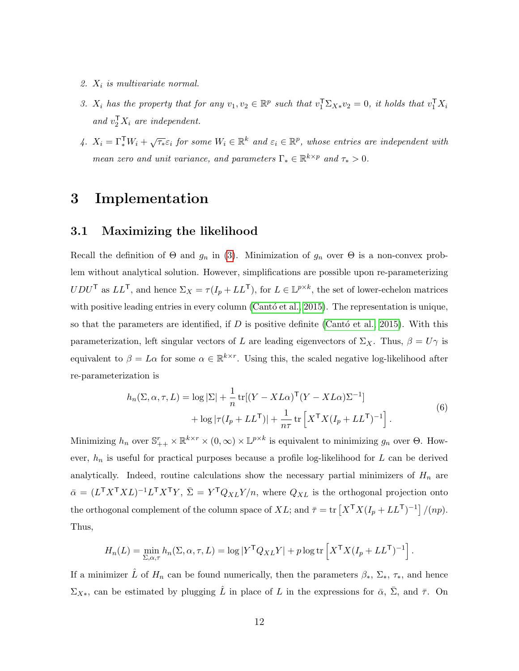- 2.  $X_i$  is multivariate normal.
- 3.  $X_i$  has the property that for any  $v_1, v_2 \in \mathbb{R}^p$  such that  $v_1^T \Sigma_{X*} v_2 = 0$ , it holds that  $v_1^T X_i$ and  $v_2^{\mathsf{T}} X_i$  are independent.
- 4.  $X_i = \Gamma_*^{\mathsf{T}} W_i + \sqrt{\tau_*} \varepsilon_i$  for some  $W_i \in \mathbb{R}^k$  and  $\varepsilon_i \in \mathbb{R}^p$ , whose entries are independent with mean zero and unit variance, and parameters  $\Gamma_* \in \mathbb{R}^{k \times p}$  and  $\tau_* > 0$ .

### <span id="page-11-1"></span>3 Implementation

### <span id="page-11-0"></span>3.1 Maximizing the likelihood

Recall the definition of  $\Theta$  and  $g_n$  in [\(3\)](#page-5-1). Minimization of  $g_n$  over  $\Theta$  is a non-convex problem without analytical solution. However, simplifications are possible upon re-parameterizing  $UDU^{\mathsf{T}}$  as  $LL^{\mathsf{T}}$ , and hence  $\Sigma_X = \tau(I_p + LL^{\mathsf{T}})$ , for  $L \in \mathbb{L}^{p \times k}$ , the set of lower-echelon matrices with positive leading entries in every column (Cantó et al., 2015). The representation is unique, so that the parameters are identified, if D is positive definite (Cantó et al., 2015). With this parameterization, left singular vectors of L are leading eigenvectors of  $\Sigma_X$ . Thus,  $\beta = U\gamma$  is equivalent to  $\beta = L\alpha$  for some  $\alpha \in \mathbb{R}^{k \times r}$ . Using this, the scaled negative log-likelihood after re-parameterization is

$$
h_n(\Sigma, \alpha, \tau, L) = \log |\Sigma| + \frac{1}{n} \text{tr}[(Y - XL\alpha)^{\mathsf{T}}(Y - XL\alpha)\Sigma^{-1}]
$$
  
+ 
$$
\log |\tau(I_p + LL^{\mathsf{T}})| + \frac{1}{n\tau} \text{tr}\left[X^{\mathsf{T}}X(I_p + LL^{\mathsf{T}})^{-1}\right].
$$
 (6)

Minimizing  $h_n$  over  $\mathbb{S}_{++}^r \times \mathbb{R}^{k \times r} \times (0, \infty) \times \mathbb{L}^{p \times k}$  is equivalent to minimizing  $g_n$  over  $\Theta$ . However,  $h_n$  is useful for practical purposes because a profile log-likelihood for  $L$  can be derived analytically. Indeed, routine calculations show the necessary partial minimizers of  $H_n$  are  $\bar{\alpha} = (L^{\mathsf{T}} X^{\mathsf{T}} X L)^{-1} L^{\mathsf{T}} X^{\mathsf{T}} Y, \ \bar{\Sigma} = Y^{\mathsf{T}} Q_{XL} Y/n,$  where  $Q_{XL}$  is the orthogonal projection onto the orthogonal complement of the column space of XL; and  $\bar{\tau} = \text{tr}\left[X^{\mathsf{T}}X(I_p + LL^{\mathsf{T}})^{-1}\right]/(np)$ . Thus,

$$
H_n(L) = \min_{\Sigma, \alpha, \tau} h_n(\Sigma, \alpha, \tau, L) = \log |Y^{\mathsf{T}} Q_{XL} Y| + p \log \text{tr} \left[ X^{\mathsf{T}} X (I_p + LL^{\mathsf{T}})^{-1} \right].
$$

If a minimizer  $\hat{L}$  of  $H_n$  can be found numerically, then the parameters  $\beta_*, \Sigma_*, \tau_*,$  and hence  $\Sigma_{X*}$ , can be estimated by plugging  $\hat{L}$  in place of L in the expressions for  $\bar{\alpha}$ ,  $\bar{\Sigma}$ , and  $\bar{\tau}$ . On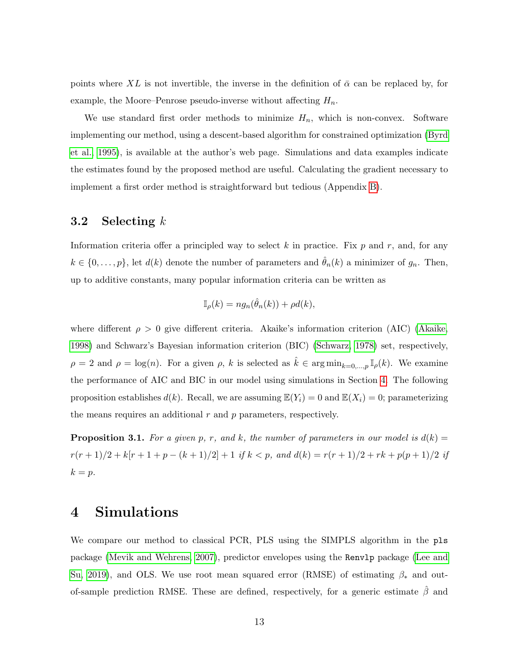points where XL is not invertible, the inverse in the definition of  $\bar{\alpha}$  can be replaced by, for example, the Moore–Penrose pseudo-inverse without affecting  $H_n$ .

We use standard first order methods to minimize  $H_n$ , which is non-convex. Software implementing our method, using a descent-based algorithm for constrained optimization [\(Byrd](#page-32-11) [et al., 1995\)](#page-32-11), is available at the author's web page. Simulations and data examples indicate the estimates found by the proposed method are useful. Calculating the gradient necessary to implement a first order method is straightforward but tedious (Appendix [B\)](#page-29-0).

### <span id="page-12-1"></span>3.2 Selecting  $k$

Information criteria offer a principled way to select k in practice. Fix  $p$  and  $r$ , and, for any  $k \in \{0, \ldots, p\}$ , let  $d(k)$  denote the number of parameters and  $\hat{\theta}_n(k)$  a minimizer of  $g_n$ . Then, up to additive constants, many popular information criteria can be written as

$$
\mathbb{I}_{\rho}(k) = n g_n(\hat{\theta}_n(k)) + \rho d(k),
$$

where different  $\rho > 0$  give different criteria. Akaike's information criterion (AIC) [\(Akaike,](#page-31-3) [1998\)](#page-31-3) and Schwarz's Bayesian information criterion (BIC) [\(Schwarz, 1978\)](#page-34-8) set, respectively,  $\rho = 2$  and  $\rho = \log(n)$ . For a given  $\rho$ , k is selected as  $\hat{k} \in \arg\min_{k=0,\dots,p} \mathbb{I}_{\rho}(k)$ . We examine the performance of AIC and BIC in our model using simulations in Section [4.](#page-12-0) The following proposition establishes  $d(k)$ . Recall, we are assuming  $\mathbb{E}(Y_i) = 0$  and  $\mathbb{E}(X_i) = 0$ ; parameterizing the means requires an additional  $r$  and  $p$  parameters, respectively.

<span id="page-12-2"></span>**Proposition 3.1.** For a given p, r, and k, the number of parameters in our model is  $d(k) =$  $r(r + 1)/2 + k[r + 1 + p - (k + 1)/2] + 1$  if  $k < p$ , and  $d(k) = r(r + 1)/2 + rk + p(p + 1)/2$  if  $k = p$ .

## <span id="page-12-0"></span>4 Simulations

We compare our method to classical PCR, PLS using the SIMPLS algorithm in the pls package [\(Mevik and Wehrens, 2007\)](#page-33-7), predictor envelopes using the Renvlp package [\(Lee and](#page-33-8) [Su, 2019\)](#page-33-8), and OLS. We use root mean squared error (RMSE) of estimating  $\beta_*$  and outof-sample prediction RMSE. These are defined, respectively, for a generic estimate  $\hat{\beta}$  and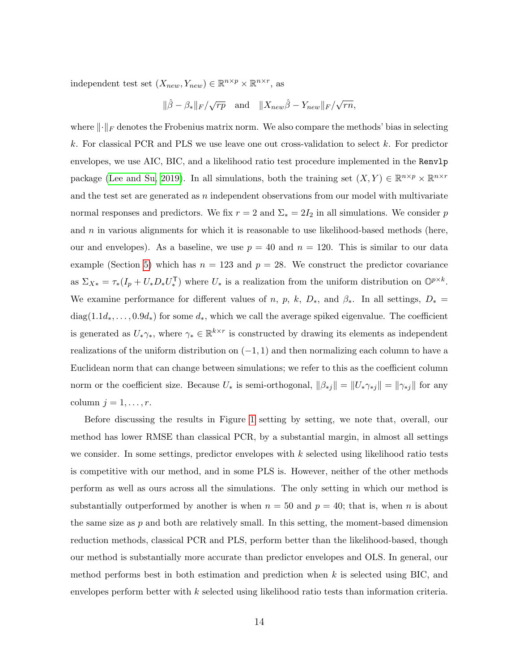independent test set  $(X_{new}, Y_{new}) \in \mathbb{R}^{n \times p} \times \mathbb{R}^{n \times r}$ , as

 $\|\hat{\beta} - \beta_*\|_F / \sqrt{rp}$  and  $\|X_{new}\hat{\beta} - Y_{new}\|_F / \sqrt{p}$  $\overline{rn},$ 

where  $\lVert \cdot \rVert_F$  denotes the Frobenius matrix norm. We also compare the methods' bias in selecting k. For classical PCR and PLS we use leave one out cross-validation to select  $k$ . For predictor envelopes, we use AIC, BIC, and a likelihood ratio test procedure implemented in the Renvlp package [\(Lee and Su, 2019\)](#page-33-8). In all simulations, both the training set  $(X, Y) \in \mathbb{R}^{n \times p} \times \mathbb{R}^{n \times r}$ and the test set are generated as  $n$  independent observations from our model with multivariate normal responses and predictors. We fix  $r = 2$  and  $\Sigma_* = 2I_2$  in all simulations. We consider p and  $n$  in various alignments for which it is reasonable to use likelihood-based methods (here, our and envelopes). As a baseline, we use  $p = 40$  and  $n = 120$ . This is similar to our data example (Section [5\)](#page-16-0) which has  $n = 123$  and  $p = 28$ . We construct the predictor covariance as  $\Sigma_{X*} = \tau_*(I_p + U_* D_* U_*^{\mathsf{T}})$  where  $U_*$  is a realization from the uniform distribution on  $\mathbb{O}^{p \times k}$ . We examine performance for different values of n, p, k,  $D_*$ , and  $\beta_*$ . In all settings,  $D_*$ diag(1.1 $d_*, \ldots, 0.9d_*$ ) for some  $d_*,$  which we call the average spiked eigenvalue. The coefficient is generated as  $U_*\gamma_*$ , where  $\gamma_* \in \mathbb{R}^{k \times r}$  is constructed by drawing its elements as independent realizations of the uniform distribution on  $(-1, 1)$  and then normalizing each column to have a Euclidean norm that can change between simulations; we refer to this as the coefficient column norm or the coefficient size. Because  $U_*$  is semi-orthogonal,  $\|\beta_{*j}\| = \|U_*\gamma_{*j}\| = \|\gamma_{*j}\|$  for any column  $j = 1, \ldots, r$ .

Before discussing the results in Figure [1](#page-15-0) setting by setting, we note that, overall, our method has lower RMSE than classical PCR, by a substantial margin, in almost all settings we consider. In some settings, predictor envelopes with  $k$  selected using likelihood ratio tests is competitive with our method, and in some PLS is. However, neither of the other methods perform as well as ours across all the simulations. The only setting in which our method is substantially outperformed by another is when  $n = 50$  and  $p = 40$ ; that is, when n is about the same size as  $p$  and both are relatively small. In this setting, the moment-based dimension reduction methods, classical PCR and PLS, perform better than the likelihood-based, though our method is substantially more accurate than predictor envelopes and OLS. In general, our method performs best in both estimation and prediction when  $k$  is selected using BIC, and envelopes perform better with  $k$  selected using likelihood ratio tests than information criteria.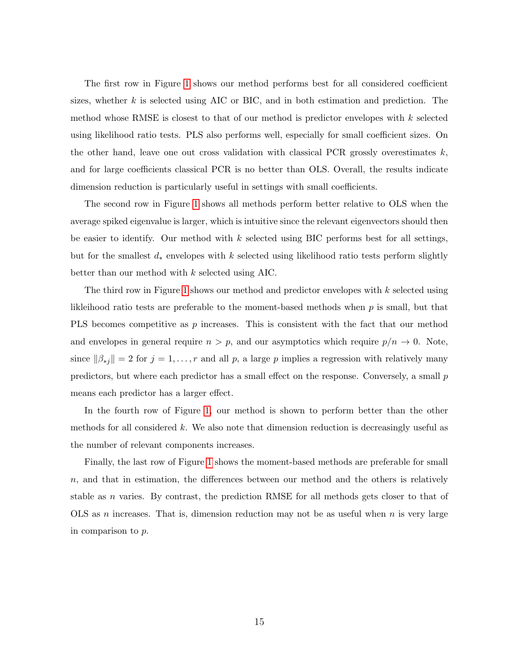The first row in Figure [1](#page-15-0) shows our method performs best for all considered coefficient sizes, whether  $k$  is selected using AIC or BIC, and in both estimation and prediction. The method whose RMSE is closest to that of our method is predictor envelopes with  $k$  selected using likelihood ratio tests. PLS also performs well, especially for small coefficient sizes. On the other hand, leave one out cross validation with classical PCR grossly overestimates  $k$ , and for large coefficients classical PCR is no better than OLS. Overall, the results indicate dimension reduction is particularly useful in settings with small coefficients.

The second row in Figure [1](#page-15-0) shows all methods perform better relative to OLS when the average spiked eigenvalue is larger, which is intuitive since the relevant eigenvectors should then be easier to identify. Our method with k selected using BIC performs best for all settings, but for the smallest  $d_*$  envelopes with k selected using likelihood ratio tests perform slightly better than our method with k selected using AIC.

The third row in Figure [1](#page-15-0) shows our method and predictor envelopes with k selected using likleihood ratio tests are preferable to the moment-based methods when p is small, but that PLS becomes competitive as  $p$  increases. This is consistent with the fact that our method and envelopes in general require  $n > p$ , and our asymptotics which require  $p/n \to 0$ . Note, since  $\|\beta_{*j}\|=2$  for  $j=1,\ldots,r$  and all p, a large p implies a regression with relatively many predictors, but where each predictor has a small effect on the response. Conversely, a small p means each predictor has a larger effect.

In the fourth row of Figure [1,](#page-15-0) our method is shown to perform better than the other methods for all considered  $k$ . We also note that dimension reduction is decreasingly useful as the number of relevant components increases.

Finally, the last row of Figure [1](#page-15-0) shows the moment-based methods are preferable for small n, and that in estimation, the differences between our method and the others is relatively stable as n varies. By contrast, the prediction RMSE for all methods gets closer to that of OLS as n increases. That is, dimension reduction may not be as useful when n is very large in comparison to p.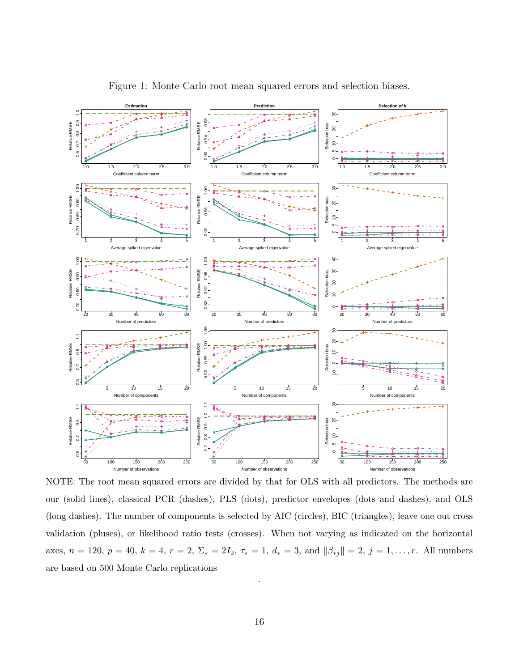<span id="page-15-0"></span>

Figure 1: Monte Carlo root mean squared errors and selection biases.

NOTE: The root mean squared errors are divided by that for OLS with all predictors. The methods are our (solid lines), classical PCR (dashes), PLS (dots), predictor envelopes (dots and dashes), and OLS (long dashes). The number of components is selected by AIC (circles), BIC (triangles), leave one out cross validation (pluses), or likelihood ratio tests (crosses). When not varying as indicated on the horizontal axes,  $n = 120$ ,  $p = 40$ ,  $k = 4$ ,  $r = 2$ ,  $\Sigma_* = 2I_2$ ,  $\tau_* = 1$ ,  $d_* = 3$ , and  $||\beta_{*j}|| = 2$ ,  $j = 1, ..., r$ . All numbers are based on 500 Monte Carlo replications

.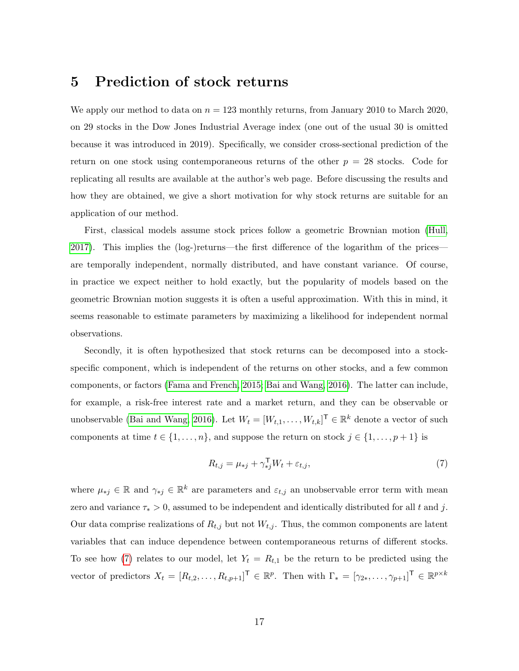### <span id="page-16-0"></span>5 Prediction of stock returns

We apply our method to data on  $n = 123$  monthly returns, from January 2010 to March 2020, on 29 stocks in the Dow Jones Industrial Average index (one out of the usual 30 is omitted because it was introduced in 2019). Specifically, we consider cross-sectional prediction of the return on one stock using contemporaneous returns of the other  $p = 28$  stocks. Code for replicating all results are available at the author's web page. Before discussing the results and how they are obtained, we give a short motivation for why stock returns are suitable for an application of our method.

First, classical models assume stock prices follow a geometric Brownian motion [\(Hull,](#page-33-9) [2017\)](#page-33-9). This implies the (log-)returns—the first difference of the logarithm of the prices are temporally independent, normally distributed, and have constant variance. Of course, in practice we expect neither to hold exactly, but the popularity of models based on the geometric Brownian motion suggests it is often a useful approximation. With this in mind, it seems reasonable to estimate parameters by maximizing a likelihood for independent normal observations.

Secondly, it is often hypothesized that stock returns can be decomposed into a stockspecific component, which is independent of the returns on other stocks, and a few common components, or factors [\(Fama and French, 2015;](#page-33-10) [Bai and Wang, 2016\)](#page-31-1). The latter can include, for example, a risk-free interest rate and a market return, and they can be observable or unobservable [\(Bai and Wang, 2016\)](#page-31-1). Let  $W_t = [W_{t,1}, \ldots, W_{t,k}]^{\mathsf{T}} \in \mathbb{R}^k$  denote a vector of such components at time  $t \in \{1, \ldots, n\}$ , and suppose the return on stock  $j \in \{1, \ldots, p+1\}$  is

<span id="page-16-1"></span>
$$
R_{t,j} = \mu_{*j} + \gamma_{*j}^{\mathsf{T}} W_t + \varepsilon_{t,j},\tag{7}
$$

where  $\mu_{*j} \in \mathbb{R}$  and  $\gamma_{*j} \in \mathbb{R}^k$  are parameters and  $\varepsilon_{t,j}$  an unobservable error term with mean zero and variance  $\tau_* > 0$ , assumed to be independent and identically distributed for all t and j. Our data comprise realizations of  $R_{t,j}$  but not  $W_{t,j}$ . Thus, the common components are latent variables that can induce dependence between contemporaneous returns of different stocks. To see how [\(7\)](#page-16-1) relates to our model, let  $Y_t = R_{t,1}$  be the return to be predicted using the vector of predictors  $X_t = [R_{t,2}, \ldots, R_{t,p+1}]^{\mathsf{T}} \in \mathbb{R}^p$ . Then with  $\Gamma_* = [\gamma_{2*}, \ldots, \gamma_{p+1}]^{\mathsf{T}} \in \mathbb{R}^{p \times k}$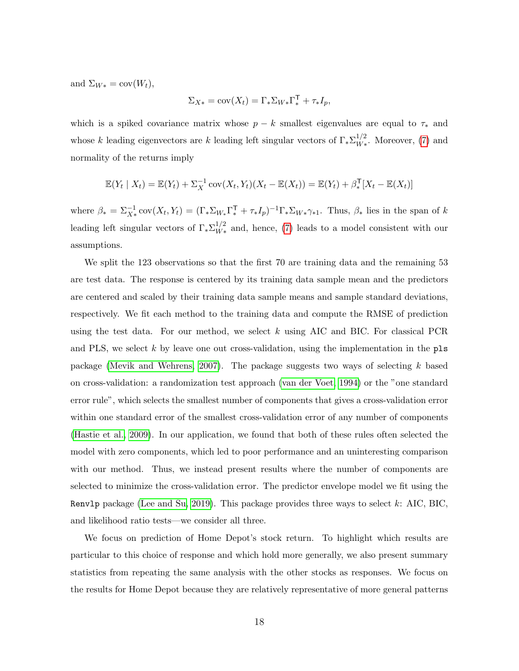and  $\Sigma_{W*} = \text{cov}(W_t)$ ,

$$
\Sigma_{X*} = \text{cov}(X_t) = \Gamma_* \Sigma_{W*} \Gamma_*^{\mathsf{T}} + \tau_* I_p,
$$

which is a spiked covariance matrix whose  $p - k$  smallest eigenvalues are equal to  $\tau_*$  and whose k leading eigenvectors are k leading left singular vectors of  $\Gamma_* \Sigma_{W_*}^{1/2}$  $W^{1/2}_{W*}$ . Moreover, [\(7\)](#page-16-1) and normality of the returns imply

$$
\mathbb{E}(Y_t | X_t) = \mathbb{E}(Y_t) + \Sigma_X^{-1} \operatorname{cov}(X_t, Y_t)(X_t - \mathbb{E}(X_t)) = \mathbb{E}(Y_t) + \beta_*^{\mathsf{T}}[X_t - \mathbb{E}(X_t)]
$$

where  $\beta_* = \sum_{X*}^{-1} cov(X_t, Y_t) = (\Gamma_* \Sigma_{W*} \Gamma_*^{\mathsf{T}} + \tau_* I_p)^{-1} \Gamma_* \Sigma_{W*} \gamma_{*1}$ . Thus,  $\beta_*$  lies in the span of k leading left singular vectors of  $\Gamma_* \Sigma_{W_*}^{1/2}$  $W_*^{1/2}$  and, hence, [\(7\)](#page-16-1) leads to a model consistent with our assumptions.

We split the 123 observations so that the first 70 are training data and the remaining 53 are test data. The response is centered by its training data sample mean and the predictors are centered and scaled by their training data sample means and sample standard deviations, respectively. We fit each method to the training data and compute the RMSE of prediction using the test data. For our method, we select  $k$  using AIC and BIC. For classical PCR and PLS, we select k by leave one out cross-validation, using the implementation in the  $pls$ package [\(Mevik and Wehrens, 2007\)](#page-33-7). The package suggests two ways of selecting k based on cross-validation: a randomization test approach [\(van der Voet, 1994\)](#page-34-9) or the "one standard error rule", which selects the smallest number of components that gives a cross-validation error within one standard error of the smallest cross-validation error of any number of components [\(Hastie et al., 2009\)](#page-33-11). In our application, we found that both of these rules often selected the model with zero components, which led to poor performance and an uninteresting comparison with our method. Thus, we instead present results where the number of components are selected to minimize the cross-validation error. The predictor envelope model we fit using the Renv1p package [\(Lee and Su, 2019\)](#page-33-8). This package provides three ways to select k: AIC, BIC, and likelihood ratio tests—we consider all three.

We focus on prediction of Home Depot's stock return. To highlight which results are particular to this choice of response and which hold more generally, we also present summary statistics from repeating the same analysis with the other stocks as responses. We focus on the results for Home Depot because they are relatively representative of more general patterns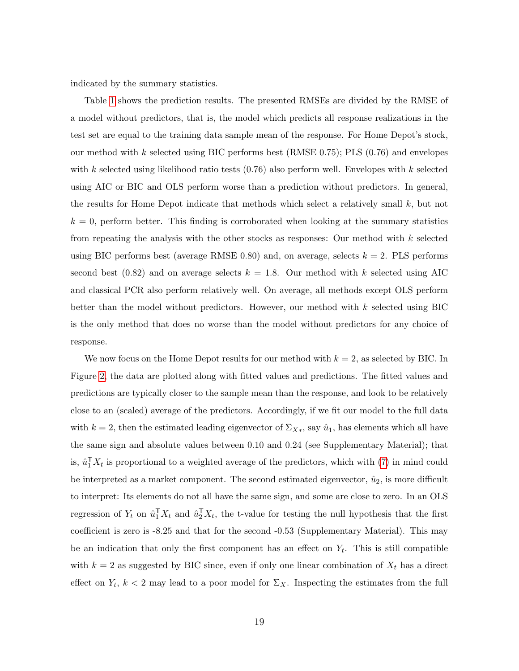indicated by the summary statistics.

Table [1](#page-19-1) shows the prediction results. The presented RMSEs are divided by the RMSE of a model without predictors, that is, the model which predicts all response realizations in the test set are equal to the training data sample mean of the response. For Home Depot's stock, our method with k selected using BIC performs best (RMSE  $(0.75)$ ; PLS  $(0.76)$ ) and envelopes with k selected using likelihood ratio tests  $(0.76)$  also perform well. Envelopes with k selected using AIC or BIC and OLS perform worse than a prediction without predictors. In general, the results for Home Depot indicate that methods which select a relatively small  $k$ , but not  $k = 0$ , perform better. This finding is corroborated when looking at the summary statistics from repeating the analysis with the other stocks as responses: Our method with  $k$  selected using BIC performs best (average RMSE 0.80) and, on average, selects  $k = 2$ . PLS performs second best (0.82) and on average selects  $k = 1.8$ . Our method with k selected using AIC and classical PCR also perform relatively well. On average, all methods except OLS perform better than the model without predictors. However, our method with  $k$  selected using BIC is the only method that does no worse than the model without predictors for any choice of response.

We now focus on the Home Depot results for our method with  $k = 2$ , as selected by BIC. In Figure [2,](#page-20-0) the data are plotted along with fitted values and predictions. The fitted values and predictions are typically closer to the sample mean than the response, and look to be relatively close to an (scaled) average of the predictors. Accordingly, if we fit our model to the full data with  $k = 2$ , then the estimated leading eigenvector of  $\Sigma_{X*}$ , say  $\hat{u}_1$ , has elements which all have the same sign and absolute values between 0.10 and 0.24 (see Supplementary Material); that is,  $\hat{u}_1^{\mathsf{T}} X_t$  is proportional to a weighted average of the predictors, which with [\(7\)](#page-16-1) in mind could be interpreted as a market component. The second estimated eigenvector,  $\hat{u}_2$ , is more difficult to interpret: Its elements do not all have the same sign, and some are close to zero. In an OLS regression of  $Y_t$  on  $\hat{u}_1^{\mathsf{T}} X_t$  and  $\hat{u}_2^{\mathsf{T}} X_t$ , the t-value for testing the null hypothesis that the first coefficient is zero is -8.25 and that for the second -0.53 (Supplementary Material). This may be an indication that only the first component has an effect on  $Y_t$ . This is still compatible with  $k = 2$  as suggested by BIC since, even if only one linear combination of  $X_t$  has a direct effect on  $Y_t$ ,  $k < 2$  may lead to a poor model for  $\Sigma_X$ . Inspecting the estimates from the full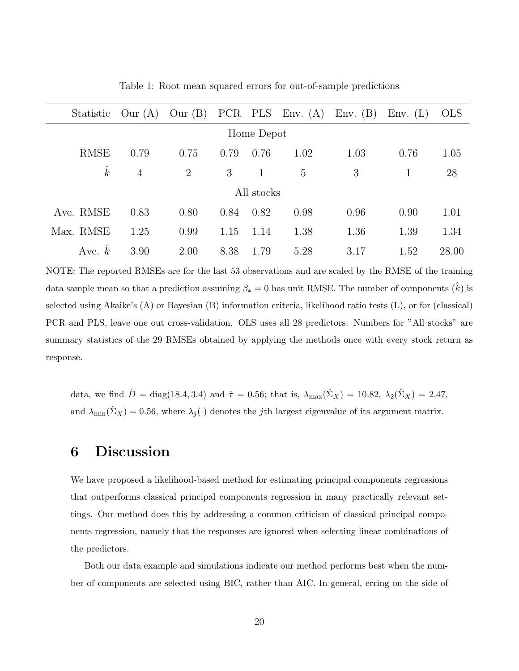<span id="page-19-1"></span>

| Statistic   | Our (A)        | Our (B)        |      |      | PCR PLS Env. $(A)$ | Env. $(B)$ | Env. (L) | <b>OLS</b> |
|-------------|----------------|----------------|------|------|--------------------|------------|----------|------------|
| Home Depot  |                |                |      |      |                    |            |          |            |
| <b>RMSE</b> | 0.79           | 0.75           | 0.79 | 0.76 | 1.02               | 1.03       | 0.76     | 1.05       |
| $\hat{k}$   | $\overline{4}$ | $\overline{2}$ | 3    | 1    | 5                  | 3          | 1        | 28         |
| All stocks  |                |                |      |      |                    |            |          |            |
| Ave. RMSE   | 0.83           | 0.80           | 0.84 | 0.82 | 0.98               | 0.96       | 0.90     | 1.01       |
| Max. RMSE   | 1.25           | 0.99           | 1.15 | 1.14 | 1.38               | 1.36       | 1.39     | 1.34       |
| Ave. $k$    | 3.90           | 2.00           | 8.38 | 1.79 | 5.28               | 3.17       | 1.52     | 28.00      |

Table 1: Root mean squared errors for out-of-sample predictions

NOTE: The reported RMSEs are for the last 53 observations and are scaled by the RMSE of the training data sample mean so that a prediction assuming  $\beta_* = 0$  has unit RMSE. The number of components  $(k)$  is selected using Akaike's (A) or Bayesian (B) information criteria, likelihood ratio tests (L), or for (classical) PCR and PLS, leave one out cross-validation. OLS uses all 28 predictors. Numbers for "All stocks" are summary statistics of the 29 RMSEs obtained by applying the methods once with every stock return as response.

data, we find  $\hat{D} = \text{diag}(18.4, 3.4)$  and  $\hat{\tau} = 0.56$ ; that is,  $\lambda_{\text{max}}(\hat{\Sigma}_X) = 10.82$ ,  $\lambda_2(\hat{\Sigma}_X) = 2.47$ , and  $\lambda_{\min}(\hat{\Sigma}_X) = 0.56$ , where  $\lambda_j(\cdot)$  denotes the jth largest eigenvalue of its argument matrix.

### <span id="page-19-0"></span>6 Discussion

We have proposed a likelihood-based method for estimating principal components regressions that outperforms classical principal components regression in many practically relevant settings. Our method does this by addressing a common criticism of classical principal components regression, namely that the responses are ignored when selecting linear combinations of the predictors.

Both our data example and simulations indicate our method performs best when the number of components are selected using BIC, rather than AIC. In general, erring on the side of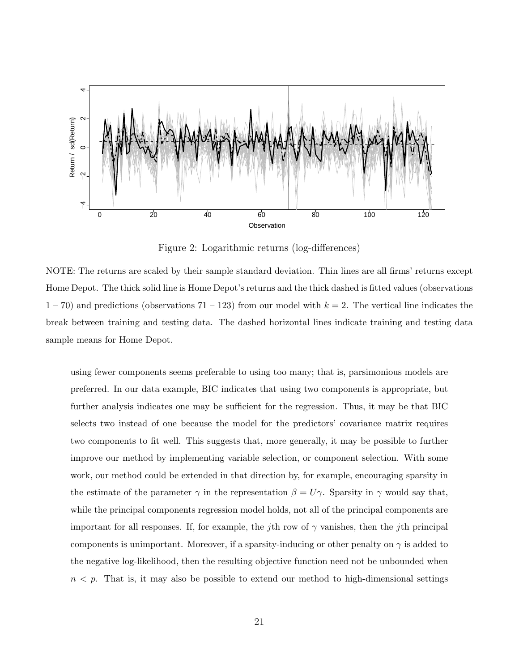<span id="page-20-0"></span>

Figure 2: Logarithmic returns (log-differences)

NOTE: The returns are scaled by their sample standard deviation. Thin lines are all firms' returns except Home Depot. The thick solid line is Home Depot's returns and the thick dashed is fitted values (observations  $1 - 70$ ) and predictions (observations  $71 - 123$ ) from our model with  $k = 2$ . The vertical line indicates the break between training and testing data. The dashed horizontal lines indicate training and testing data sample means for Home Depot.

using fewer components seems preferable to using too many; that is, parsimonious models are preferred. In our data example, BIC indicates that using two components is appropriate, but further analysis indicates one may be sufficient for the regression. Thus, it may be that BIC selects two instead of one because the model for the predictors' covariance matrix requires two components to fit well. This suggests that, more generally, it may be possible to further improve our method by implementing variable selection, or component selection. With some work, our method could be extended in that direction by, for example, encouraging sparsity in the estimate of the parameter  $\gamma$  in the representation  $\beta = U\gamma$ . Sparsity in  $\gamma$  would say that, while the principal components regression model holds, not all of the principal components are important for all responses. If, for example, the jth row of  $\gamma$  vanishes, then the jth principal components is unimportant. Moreover, if a sparsity-inducing or other penalty on  $\gamma$  is added to the negative log-likelihood, then the resulting objective function need not be unbounded when  $n < p$ . That is, it may also be possible to extend our method to high-dimensional settings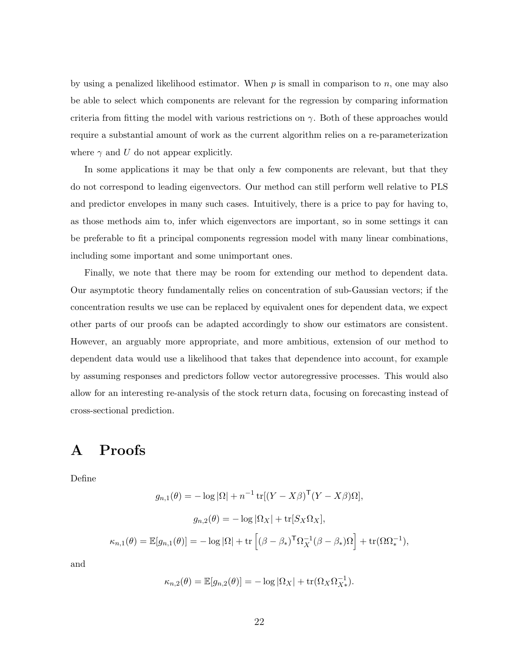by using a penalized likelihood estimator. When  $p$  is small in comparison to  $n$ , one may also be able to select which components are relevant for the regression by comparing information criteria from fitting the model with various restrictions on  $\gamma$ . Both of these approaches would require a substantial amount of work as the current algorithm relies on a re-parameterization where  $\gamma$  and U do not appear explicitly.

In some applications it may be that only a few components are relevant, but that they do not correspond to leading eigenvectors. Our method can still perform well relative to PLS and predictor envelopes in many such cases. Intuitively, there is a price to pay for having to, as those methods aim to, infer which eigenvectors are important, so in some settings it can be preferable to fit a principal components regression model with many linear combinations, including some important and some unimportant ones.

Finally, we note that there may be room for extending our method to dependent data. Our asymptotic theory fundamentally relies on concentration of sub-Gaussian vectors; if the concentration results we use can be replaced by equivalent ones for dependent data, we expect other parts of our proofs can be adapted accordingly to show our estimators are consistent. However, an arguably more appropriate, and more ambitious, extension of our method to dependent data would use a likelihood that takes that dependence into account, for example by assuming responses and predictors follow vector autoregressive processes. This would also allow for an interesting re-analysis of the stock return data, focusing on forecasting instead of cross-sectional prediction.

### <span id="page-21-0"></span>A Proofs

Define

$$
g_{n,1}(\theta) = -\log |\Omega| + n^{-1} \text{tr}[(Y - X\beta)^{\mathsf{T}} (Y - X\beta)\Omega],
$$

$$
g_{n,2}(\theta) = -\log |\Omega_X| + \text{tr}[S_X \Omega_X],
$$

$$
\kappa_{n,1}(\theta) = \mathbb{E}[g_{n,1}(\theta)] = -\log |\Omega| + \text{tr}\left[ (\beta - \beta_*)^{\mathsf{T}} \Omega_X^{-1} (\beta - \beta_*) \Omega \right] + \text{tr}(\Omega \Omega_*^{-1}),
$$

and

$$
\kappa_{n,2}(\theta) = \mathbb{E}[g_{n,2}(\theta)] = -\log |\Omega_X| + \text{tr}(\Omega_X \Omega_{X*}^{-1}).
$$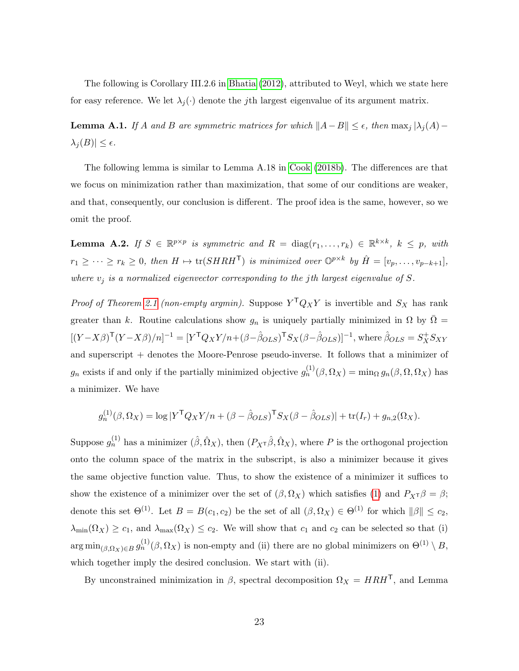The following is Corollary III.2.6 in [Bhatia \(2012\)](#page-32-12), attributed to Weyl, which we state here for easy reference. We let  $\lambda_j(\cdot)$  denote the j<sup>th</sup> largest eigenvalue of its argument matrix.

<span id="page-22-0"></span>**Lemma A.1.** If A and B are symmetric matrices for which  $||A-B|| \leq \epsilon$ , then  $\max_j |\lambda_j(A)-\lambda_j(B)|$  $\lambda_j(B)| \leq \epsilon.$ 

The following lemma is similar to Lemma A.18 in [Cook \(2018b\)](#page-32-9). The differences are that we focus on minimization rather than maximization, that some of our conditions are weaker, and that, consequently, our conclusion is different. The proof idea is the same, however, so we omit the proof.

<span id="page-22-1"></span>**Lemma A.2.** If  $S \in \mathbb{R}^{p \times p}$  is symmetric and  $R = \text{diag}(r_1, \ldots, r_k) \in \mathbb{R}^{k \times k}$ ,  $k \leq p$ , with  $r_1 \geq \cdots \geq r_k \geq 0$ , then  $H \mapsto \text{tr}(SHRH^{\mathsf{T}})$  is minimized over  $\mathbb{O}^{p \times k}$  by  $\hat{H} = [v_p, \ldots, v_{p-k+1}],$ where  $v_j$  is a normalized eigenvector corresponding to the jth largest eigenvalue of S.

*Proof of Theorem [2.1](#page-6-0) (non-empty argmin)*. Suppose  $Y^T Q_X Y$  is invertible and  $S_X$  has rank greater than k. Routine calculations show  $g_n$  is uniquely partially minimized in  $\Omega$  by  $\overline{\Omega}$  =  $[(Y-X\beta)<sup>T</sup>(Y-X\beta)/n]^{-1} = [Y<sup>T</sup>Q<sub>X</sub>Y/n+(\beta-\hat{\beta}_{OLS})<sup>T</sup>S<sub>X</sub>(\beta-\hat{\beta}_{OLS})]^{-1}$ , where  $\hat{\beta}_{OLS} = S<sub>X</sub><sup>+</sup>S<sub>XY</sub>$ and superscript  $+$  denotes the Moore-Penrose pseudo-inverse. It follows that a minimizer of  $g_n$  exists if and only if the partially minimized objective  $g_n^{(1)}(\beta, \Omega_X) = \min_{\Omega} g_n(\beta, \Omega, \Omega_X)$  has a minimizer. We have

$$
g_n^{(1)}(\beta, \Omega_X) = \log |Y^{\mathsf{T}} Q_X Y/n + (\beta - \hat{\beta}_{OLS})^{\mathsf{T}} S_X(\beta - \hat{\beta}_{OLS})| + \text{tr}(I_r) + g_{n,2}(\Omega_X).
$$

Suppose  $g_n^{(1)}$  has a minimizer  $(\hat{\beta}, \hat{\Omega}_X)$ , then  $(P_X \tau \hat{\beta}, \hat{\Omega}_X)$ , where P is the orthogonal projection onto the column space of the matrix in the subscript, is also a minimizer because it gives the same objective function value. Thus, to show the existence of a minimizer it suffices to show the existence of a minimizer over the set of  $(\beta, \Omega_X)$  which satisfies [\(1\)](#page-2-0) and  $P_X \tau \beta = \beta$ ; denote this set  $\Theta^{(1)}$ . Let  $B = B(c_1, c_2)$  be the set of all  $(\beta, \Omega_X) \in \Theta^{(1)}$  for which  $\|\beta\| \leq c_2$ ,  $\lambda_{\min}(\Omega_X) \geq c_1$ , and  $\lambda_{\max}(\Omega_X) \leq c_2$ . We will show that  $c_1$  and  $c_2$  can be selected so that (i)  $\arg\min_{(\beta,\Omega_X)\in B} g_n^{(1)}(\beta,\Omega_X)$  is non-empty and (ii) there are no global minimizers on  $\Theta^{(1)}\setminus B$ , which together imply the desired conclusion. We start with (ii).

By unconstrained minimization in  $\beta$ , spectral decomposition  $\Omega_X = H R H^{\mathsf{T}}$ , and Lemma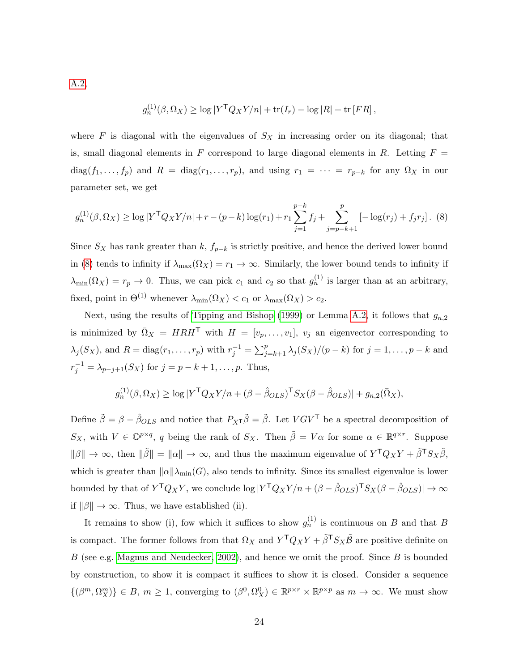[A.2,](#page-22-1)

<span id="page-23-0"></span>
$$
g_n^{(1)}(\beta, \Omega_X) \ge \log |Y^{\mathsf{T}} Q_X Y/n| + \text{tr}(I_r) - \log |R| + \text{tr}[FR],
$$

where  $F$  is diagonal with the eigenvalues of  $S_X$  in increasing order on its diagonal; that is, small diagonal elements in F correspond to large diagonal elements in R. Letting  $F =$  $diag(f_1, \ldots, f_p)$  and  $R = diag(r_1, \ldots, r_p)$ , and using  $r_1 = \cdots = r_{p-k}$  for any  $\Omega_X$  in our parameter set, we get

$$
g_n^{(1)}(\beta, \Omega_X) \ge \log |Y^{\mathsf{T}} Q_X Y/n| + r - (p - k) \log(r_1) + r_1 \sum_{j=1}^{p-k} f_j + \sum_{j=p-k+1}^p [-\log(r_j) + f_j r_j].
$$
 (8)

Since  $S_X$  has rank greater than k,  $f_{p-k}$  is strictly positive, and hence the derived lower bound in [\(8\)](#page-23-0) tends to infinity if  $\lambda_{\max}(\Omega_X) = r_1 \to \infty$ . Similarly, the lower bound tends to infinity if  $\lambda_{\min}(\Omega_X) = r_p \to 0$ . Thus, we can pick  $c_1$  and  $c_2$  so that  $g_n^{(1)}$  is larger than at an arbitrary, fixed, point in  $\Theta^{(1)}$  whenever  $\lambda_{\min}(\Omega_X) < c_1$  or  $\lambda_{\max}(\Omega_X) > c_2$ .

Next, using the results of [Tipping and Bishop \(1999\)](#page-34-6) or Lemma [A.2,](#page-22-1) it follows that  $g_{n,2}$ is minimized by  $\overline{\Omega}_X = HRH^{\mathsf{T}}$  with  $H = [v_p, \ldots, v_1], v_j$  an eigenvector corresponding to  $\lambda_j(S_X)$ , and  $R = \text{diag}(r_1, \ldots, r_p)$  with  $r_j^{-1} = \sum_{j=k+1}^p \lambda_j(S_X)/(p-k)$  for  $j = 1, \ldots, p-k$  and  $r_j^{-1} = \lambda_{p-j+1}(S_X)$  for  $j = p - k + 1, \ldots, p$ . Thus,

$$
g_n^{(1)}(\beta, \Omega_X) \ge \log |Y^{\mathsf{T}} Q_X Y/n + (\beta - \hat{\beta}_{OLS})^{\mathsf{T}} S_X(\beta - \hat{\beta}_{OLS})| + g_{n,2}(\overline{\Omega}_X),
$$

Define  $\tilde{\beta} = \beta - \hat{\beta}_{OLS}$  and notice that  $P_{X} \tilde{\beta} = \tilde{\beta}$ . Let  $V G V^{\mathsf{T}}$  be a spectral decomposition of  $S_X$ , with  $V \in \mathbb{O}^{p \times q}$ , q being the rank of  $S_X$ . Then  $\tilde{\beta} = V\alpha$  for some  $\alpha \in \mathbb{R}^{q \times r}$ . Suppose  $\|\beta\| \to \infty$ , then  $\|\tilde{\beta}\| = \|\alpha\| \to \infty$ , and thus the maximum eigenvalue of  $Y^{\mathsf{T}}Q_XY + \tilde{\beta}^{\mathsf{T}}S_X\tilde{\beta}$ , which is greater than  $\|\alpha\|\lambda_{\min}(G)$ , also tends to infinity. Since its smallest eigenvalue is lower bounded by that of  $Y^{\mathsf{T}}Q_XY$ , we conclude  $\log |Y^{\mathsf{T}}Q_XY/n + (\beta - \hat{\beta}_{OLS})^{\mathsf{T}}S_X(\beta - \hat{\beta}_{OLS})| \to \infty$ if  $\|\beta\| \to \infty$ . Thus, we have established (ii).

It remains to show (i), fow which it suffices to show  $g_n^{(1)}$  is continuous on B and that B is compact. The former follows from that  $\Omega_X$  and  $Y^{\dagger}Q_XY + \tilde{\beta}^{\dagger}S_X\tilde{\beta}$  are positive definite on  $B$  (see e.g. [Magnus and Neudecker, 2002\)](#page-33-12), and hence we omit the proof. Since  $B$  is bounded by construction, to show it is compact it suffices to show it is closed. Consider a sequence  $\{(\beta^m, \Omega_X^m)\}\in B, m\geq 1$ , converging to  $(\beta^0, \Omega_X^0)\in \mathbb{R}^{p\times r}\times \mathbb{R}^{p\times p}$  as  $m\to\infty$ . We must show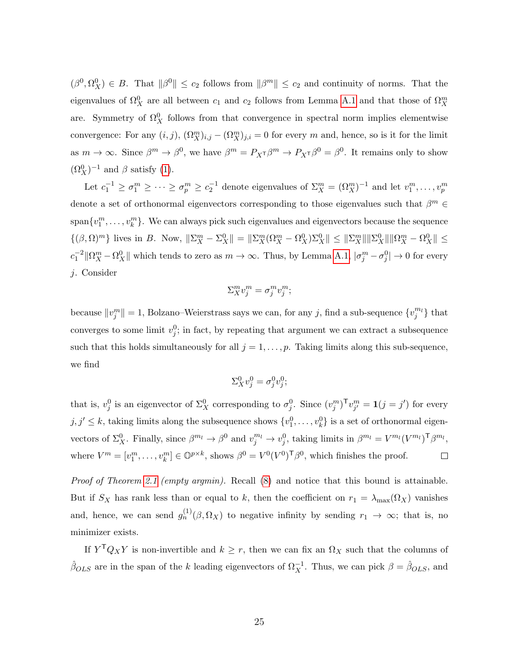$(\beta^0, \Omega_X^0) \in B$ . That  $\|\beta^0\| \leq c_2$  follows from  $\|\beta^m\| \leq c_2$  and continuity of norms. That the eigenvalues of  $\Omega_X^0$  are all between  $c_1$  and  $c_2$  follows from Lemma [A.1](#page-22-0) and that those of  $\Omega_X^m$ are. Symmetry of  $\Omega_X^0$  follows from that convergence in spectral norm implies elementwise convergence: For any  $(i, j)$ ,  $(\Omega_X^m)_{i,j} - (\Omega_X^m)_{j,i} = 0$  for every m and, hence, so is it for the limit as  $m \to \infty$ . Since  $\beta^m \to \beta^0$ , we have  $\beta^m = P_{X^T}\beta^m \to P_{X^T}\beta^0 = \beta^0$ . It remains only to show  $(\Omega_X^0)^{-1}$  and  $\beta$  satisfy [\(1\)](#page-2-0).

Let  $c_1^{-1} \geq \sigma_1^m \geq \cdots \geq \sigma_p^m \geq c_2^{-1}$  denote eigenvalues of  $\Sigma_X^m = (\Omega_X^m)^{-1}$  and let  $v_1^m, \ldots, v_p^m$ denote a set of orthonormal eigenvectors corresponding to those eigenvalues such that  $\beta^m \in$  $\text{span}\{v_1^m,\ldots,v_k^m\}$ . We can always pick such eigenvalues and eigenvectors because the sequence  $\{(\beta,\Omega)^m\}$  lives in B. Now,  $\|\Sigma_X^m - \Sigma_X^0\| = \|\Sigma_X^m(\Omega_X^m - \Omega_X^0)\Sigma_X^0\| \le \|\Sigma_X^m\| \|\Sigma_X^0\| \|\Omega_X^m - \Omega_X^0\| \le$  $c_1^{-2} \|\Omega_X^m - \Omega_X^0\|$  which tends to zero as  $m \to \infty$ . Thus, by Lemma [A.1,](#page-22-0)  $|\sigma_j^m - \sigma_j^0| \to 0$  for every j. Consider

$$
\Sigma^m_X v^m_j = \sigma^m_j v^m_j;
$$

because  $||v_j^m|| = 1$ , Bolzano–Weierstrass says we can, for any j, find a sub-sequence  $\{v_j^{m_l}\}\$  that converges to some limit  $v_j^0$ ; in fact, by repeating that argument we can extract a subsequence such that this holds simultaneously for all  $j = 1, \ldots, p$ . Taking limits along this sub-sequence, we find

$$
\Sigma^0_X v^0_j = \sigma^0_j v^0_j;
$$

that is,  $v_j^0$  is an eigenvector of  $\Sigma_X^0$  corresponding to  $\sigma_j^0$ . Since  $(v_j^m)^\mathsf{T} v_{j'}^m = \mathbf{1}(j = j')$  for every  $j, j' \leq k$ , taking limits along the subsequence shows  $\{v_1^0, \ldots, v_k^0\}$  is a set of orthonormal eigenvectors of  $\Sigma_X^0$ . Finally, since  $\beta^{m_l} \to \beta^0$  and  $v_j^{m_l} \to v_j^0$ , taking limits in  $\beta^{m_l} = V^{m_l}(V^{m_l})^{\text{T}} \beta^{m_l}$ , where  $V^m = [v_1^m, \ldots, v_k^m] \in \mathbb{O}^{p \times k}$ , shows  $\beta^0 = V^0 (V^0)^{\mathsf{T}} \beta^0$ , which finishes the proof.  $\Box$ 

Proof of Theorem [2.1](#page-6-0) (empty argmin). Recall [\(8\)](#page-23-0) and notice that this bound is attainable. But if  $S_X$  has rank less than or equal to k, then the coefficient on  $r_1 = \lambda_{\max}(\Omega_X)$  vanishes and, hence, we can send  $g_n^{(1)}(\beta, \Omega_X)$  to negative infinity by sending  $r_1 \to \infty$ ; that is, no minimizer exists.

If  $Y^{\mathsf{T}}Q_XY$  is non-invertible and  $k \geq r$ , then we can fix an  $\Omega_X$  such that the columns of  $\hat{\beta}_{OLS}$  are in the span of the k leading eigenvectors of  $\Omega_X^{-1}$ . Thus, we can pick  $\beta = \hat{\beta}_{OLS}$ , and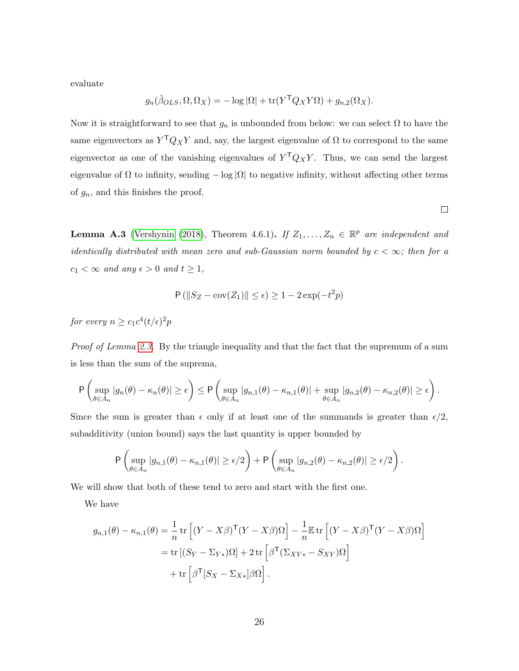evaluate

$$
g_n(\hat{\beta}_{OLS}, \Omega, \Omega_X) = -\log |\Omega| + \text{tr}(Y^{\mathsf{T}} Q_X Y \Omega) + g_{n,2}(\Omega_X).
$$

Now it is straightforward to see that  $g_n$  is unbounded from below: we can select  $\Omega$  to have the same eigenvectors as  $Y^{\mathsf{T}}Q_XY$  and, say, the largest eigenvalue of  $\Omega$  to correspond to the same eigenvector as one of the vanishing eigenvalues of  $Y^{\mathsf{T}}Q_XY$ . Thus, we can send the largest eigenvalue of  $\Omega$  to infinity, sending  $-\log |\Omega|$  to negative infinity, without affecting other terms of  $g_n$ , and this finishes the proof.

<span id="page-25-0"></span>**Lemma A.3** [\(Vershynin \(2018\)](#page-34-7), Theorem 4.6.1). If  $Z_1, \ldots, Z_n \in \mathbb{R}^p$  are independent and identically distributed with mean zero and sub-Gaussian norm bounded by  $c < \infty$ ; then for a  $c_1 < \infty$  and any  $\epsilon > 0$  and  $t \geq 1$ ,

$$
P\left(\|S_Z - \text{cov}(Z_1)\| \le \epsilon\right) \ge 1 - 2\exp(-t^2p)
$$

for every  $n \geq c_1 c^4 (t/\epsilon)^2 p$ 

Proof of Lemma [2.3.](#page-8-0) By the triangle inequality and that the fact that the supremum of a sum is less than the sum of the suprema,

$$
\mathsf{P}\left(\sup_{\theta\in A_n}|g_n(\theta)-\kappa_n(\theta)|\geq \epsilon\right)\leq \mathsf{P}\left(\sup_{\theta\in A_n}|g_{n,1}(\theta)-\kappa_{n,1}(\theta)|+\sup_{\theta\in A_n}|g_{n,2}(\theta)-\kappa_{n,2}(\theta)|\geq \epsilon\right).
$$

Since the sum is greater than  $\epsilon$  only if at least one of the summands is greater than  $\epsilon/2$ , subadditivity (union bound) says the last quantity is upper bounded by

$$
\mathsf{P}\left(\sup_{\theta\in A_n}|g_{n,1}(\theta)-\kappa_{n,1}(\theta)|\geq \epsilon/2\right)+\mathsf{P}\left(\sup_{\theta\in A_n}|g_{n,2}(\theta)-\kappa_{n,2}(\theta)|\geq \epsilon/2\right).
$$

We will show that both of these tend to zero and start with the first one.

We have

$$
g_{n,1}(\theta) - \kappa_{n,1}(\theta) = \frac{1}{n} \operatorname{tr} \left[ (Y - X\beta)^{\mathsf{T}} (Y - X\beta) \Omega \right] - \frac{1}{n} \mathbb{E} \operatorname{tr} \left[ (Y - X\beta)^{\mathsf{T}} (Y - X\beta) \Omega \right]
$$
  
= 
$$
\operatorname{tr} \left[ (S_Y - \Sigma_{Y*}) \Omega \right] + 2 \operatorname{tr} \left[ \beta^{\mathsf{T}} (\Sigma_{XY*} - S_{XY}) \Omega \right]
$$
  
+ 
$$
\operatorname{tr} \left[ \beta^{\mathsf{T}} [S_X - \Sigma_{X*}] \beta \Omega \right].
$$

 $\Box$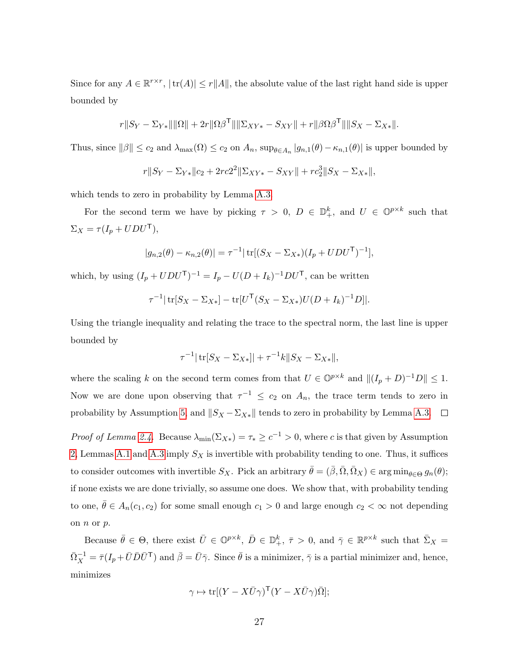Since for any  $A \in \mathbb{R}^{r \times r}$ ,  $|\text{tr}(A)| \le r ||A||$ , the absolute value of the last right hand side is upper bounded by

$$
r||S_Y - \Sigma_{Y*}|| ||\Omega|| + 2r||\Omega\beta^{\mathsf{T}}|| ||\Sigma_{XY*} - S_{XY}|| + r||\beta\Omega\beta^{\mathsf{T}}|| ||S_X - \Sigma_{X*}||.
$$

Thus, since  $||\beta|| \leq c_2$  and  $\lambda_{\max}(\Omega) \leq c_2$  on  $A_n$ ,  $\sup_{\theta \in A_n} |g_{n,1}(\theta) - \kappa_{n,1}(\theta)|$  is upper bounded by

$$
r||S_Y - \Sigma_{Y*}||c_2 + 2rc2^2||\Sigma_{XY*} - S_{XY}|| + rc_2^3||S_X - \Sigma_{X*}||,
$$

which tends to zero in probability by Lemma [A.3.](#page-25-0)

For the second term we have by picking  $\tau > 0$ ,  $D \in \mathbb{D}_{+}^{k}$ , and  $U \in \mathbb{O}^{p \times k}$  such that  $\Sigma_X = \tau (I_p + UDU^\mathsf{T}),$ 

$$
|g_{n,2}(\theta) - \kappa_{n,2}(\theta)| = \tau^{-1} |\operatorname{tr}[(S_X - \Sigma_{X*})(I_p + UDU^{\mathsf{T}})^{-1}],
$$

which, by using  $(I_p + UDU^{\mathsf{T}})^{-1} = I_p - U(D + I_k)^{-1}DU^{\mathsf{T}}$ , can be written

$$
\tau^{-1}|\operatorname{tr}[S_X - \Sigma_{X*}] - \operatorname{tr}[U^{\mathsf{T}}(S_X - \Sigma_{X*})U(D + I_k)^{-1}D]|.
$$

Using the triangle inequality and relating the trace to the spectral norm, the last line is upper bounded by

$$
\tau^{-1}|\operatorname{tr}[S_X - \Sigma_{X*}]| + \tau^{-1}k||S_X - \Sigma_{X*}||,
$$

where the scaling k on the second term comes from that  $U \in \mathbb{O}^{p \times k}$  and  $||(I_p + D)^{-1}D|| \leq 1$ . Now we are done upon observing that  $\tau^{-1} \leq c_2$  on  $A_n$ , the trace term tends to zero in probability by Assumption [5,](#page-7-2) and  $||S_X - \Sigma_{X*}||$  tends to zero in probability by Lemma [A.3.](#page-25-0)  $\square$ 

*Proof of Lemma [2.4.](#page-8-2)* Because  $\lambda_{\min}(\Sigma_{X*}) = \tau_* \geq c^{-1} > 0$ , where c is that given by Assumption [2,](#page-6-1) Lemmas [A.1](#page-22-0) and [A.3](#page-25-0) imply  $S_X$  is invertible with probability tending to one. Thus, it suffices to consider outcomes with invertible  $S_X$ . Pick an arbitrary  $\bar{\theta} = (\bar{\beta}, \bar{\Omega}, \bar{\Omega}_X) \in \arg\min_{\theta \in \Theta} g_n(\theta);$ if none exists we are done trivially, so assume one does. We show that, with probability tending to one,  $\bar{\theta} \in A_n(c_1, c_2)$  for some small enough  $c_1 > 0$  and large enough  $c_2 < \infty$  not depending on  $n$  or  $p$ .

Because  $\bar{\theta} \in \Theta$ , there exist  $\bar{U} \in \mathbb{O}^{p \times k}$ ,  $\bar{D} \in \mathbb{D}_{+}^{k}$ ,  $\bar{\tau} > 0$ , and  $\bar{\gamma} \in \mathbb{R}^{p \times k}$  such that  $\bar{\Sigma}_X =$  $\bar{\Omega}_X^{-1} = \bar{\tau} (I_p + \bar{U} \bar{D} \bar{U}^{\mathsf{T}})$  and  $\bar{\beta} = \bar{U} \bar{\gamma}$ . Since  $\bar{\theta}$  is a minimizer,  $\bar{\gamma}$  is a partial minimizer and, hence, minimizes

$$
\gamma \mapsto \text{tr}[(Y - X\bar{U}\gamma)^{\mathsf{T}}(Y - X\bar{U}\gamma)\bar{\Omega}];
$$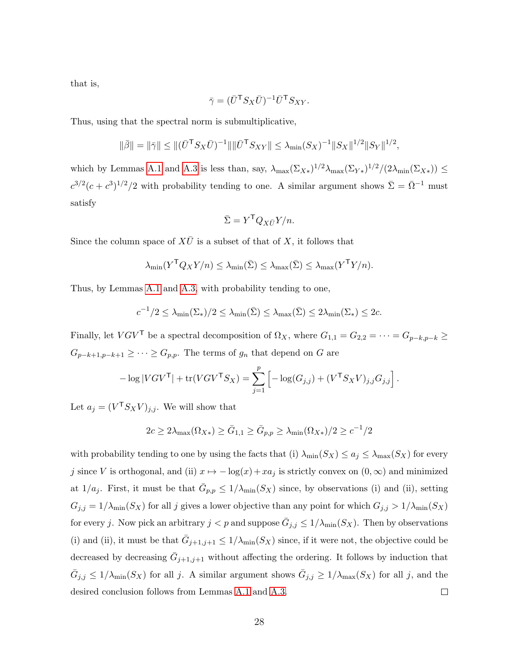that is,

$$
\bar{\gamma} = (\bar{U}^{\mathsf{T}} S_X \bar{U})^{-1} \bar{U}^{\mathsf{T}} S_{XY}.
$$

Thus, using that the spectral norm is submultiplicative,

$$
\|\bar{\beta}\| = \|\bar{\gamma}\| \le \|(\bar{U}^{\mathsf{T}} S_X \bar{U})^{-1}\| \|\bar{U}^{\mathsf{T}} S_{XY}\| \le \lambda_{\min}(S_X)^{-1} \|S_X\|^{1/2} \|S_Y\|^{1/2},
$$

which by Lemmas [A.1](#page-22-0) and [A.3](#page-25-0) is less than, say,  $\lambda_{\max}(\Sigma_{X*})^{1/2}\lambda_{\max}(\Sigma_{Y*})^{1/2}/(2\lambda_{\min}(\Sigma_{X*})) \le$  $c^{3/2}(c+c^3)^{1/2}/2$  with probability tending to one. A similar argument shows  $\bar{\Sigma} = \bar{\Omega}^{-1}$  must satisfy

$$
\bar{\Sigma} = Y^{\mathsf{T}} Q_{X\bar{U}} Y/n.
$$

Since the column space of  $X\overline{U}$  is a subset of that of X, it follows that

$$
\lambda_{\min}(Y^{\mathsf{T}}Q_XY/n) \leq \lambda_{\min}(\bar{\Sigma}) \leq \lambda_{\max}(\bar{\Sigma}) \leq \lambda_{\max}(Y^{\mathsf{T}}Y/n).
$$

Thus, by Lemmas [A.1](#page-22-0) and [A.3,](#page-25-0) with probability tending to one,

$$
c^{-1}/2 \leq \lambda_{\min}(\Sigma_*)/2 \leq \lambda_{\min}(\bar{\Sigma}) \leq \lambda_{\max}(\bar{\Sigma}) \leq 2\lambda_{\min}(\Sigma_*) \leq 2c.
$$

Finally, let  $VGV^{\mathsf{T}}$  be a spectral decomposition of  $\Omega_X$ , where  $G_{1,1} = G_{2,2} = \cdots = G_{p-k,p-k} \geq$  $G_{p-k+1,p-k+1} \geq \cdots \geq G_{p,p}.$  The terms of  $g_n$  that depend on G are

$$
-\log|VGV^{\mathsf{T}}| + \text{tr}(VGV^{\mathsf{T}}S_X) = \sum_{j=1}^p \left[ -\log(G_{j,j}) + (V^{\mathsf{T}}S_XV)_{j,j}G_{j,j} \right].
$$

Let  $a_j = (V^{\mathsf{T}} S_X V)_{j,j}$ . We will show that

$$
2c \ge 2\lambda_{\max}(\Omega_{X*}) \ge \overline{G}_{1,1} \ge \overline{G}_{p,p} \ge \lambda_{\min}(\Omega_{X*})/2 \ge c^{-1}/2
$$

with probability tending to one by using the facts that (i)  $\lambda_{\min}(S_X) \le a_j \le \lambda_{\max}(S_X)$  for every j since V is orthogonal, and (ii)  $x \mapsto -\log(x) + xa_j$  is strictly convex on  $(0, \infty)$  and minimized at  $1/a_j$ . First, it must be that  $\bar{G}_{p,p} \leq 1/\lambda_{\min}(S_X)$  since, by observations (i) and (ii), setting  $G_{j,j} = 1/\lambda_{\min}(S_X)$  for all j gives a lower objective than any point for which  $G_{j,j} > 1/\lambda_{\min}(S_X)$ for every j. Now pick an arbitrary  $j < p$  and suppose  $\bar{G}_{j,j} \leq 1/\lambda_{\min}(S_X)$ . Then by observations (i) and (ii), it must be that  $\bar{G}_{j+1,j+1} \leq 1/\lambda_{\min}(S_X)$  since, if it were not, the objective could be decreased by decreasing  $\bar{G}_{j+1,j+1}$  without affecting the ordering. It follows by induction that  $\bar{G}_{j,j} \leq 1/\lambda_{\min}(S_X)$  for all j. A similar argument shows  $\bar{G}_{j,j} \geq 1/\lambda_{\max}(S_X)$  for all j, and the desired conclusion follows from Lemmas [A.1](#page-22-0) and [A.3.](#page-25-0)  $\Box$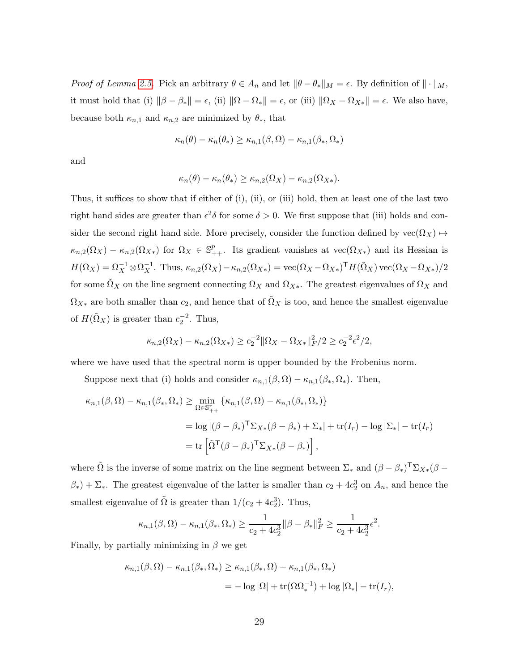Proof of Lemma [2.5.](#page-8-1) Pick an arbitrary  $\theta \in A_n$  and let  $\|\theta - \theta_*\|_M = \epsilon$ . By definition of  $\|\cdot\|_M$ , it must hold that (i)  $\|\beta - \beta_*\| = \epsilon$ , (ii)  $\|\Omega - \Omega_*\| = \epsilon$ , or (iii)  $\|\Omega_X - \Omega_{X*}\| = \epsilon$ . We also have, because both  $\kappa_{n,1}$  and  $\kappa_{n,2}$  are minimized by  $\theta_*$ , that

$$
\kappa_n(\theta) - \kappa_n(\theta_*) \ge \kappa_{n,1}(\beta,\Omega) - \kappa_{n,1}(\beta_*,\Omega_*)
$$

and

$$
\kappa_n(\theta) - \kappa_n(\theta_*) \ge \kappa_{n,2}(\Omega_X) - \kappa_{n,2}(\Omega_{X*}).
$$

Thus, it suffices to show that if either of (i), (ii), or (iii) hold, then at least one of the last two right hand sides are greater than  $\epsilon^2 \delta$  for some  $\delta > 0$ . We first suppose that (iii) holds and consider the second right hand side. More precisely, consider the function defined by  $\text{vec}(\Omega_X) \mapsto$  $\kappa_{n,2}(\Omega_X) - \kappa_{n,2}(\Omega_{X*})$  for  $\Omega_X \in \mathbb{S}_{++}^p$ . Its gradient vanishes at vec $(\Omega_{X*})$  and its Hessian is  $H(\Omega_X) = \Omega_X^{-1} \otimes \Omega_X^{-1}$ . Thus,  $\kappa_{n,2}(\Omega_X) - \kappa_{n,2}(\Omega_{X*}) = \text{vec}(\Omega_X - \Omega_{X*})^{\mathsf{T}} H(\tilde{\Omega}_X) \text{vec}(\Omega_X - \Omega_{X*})/2$ for some  $\tilde{\Omega}_X$  on the line segment connecting  $\Omega_X$  and  $\Omega_{X*}$ . The greatest eigenvalues of  $\Omega_X$  and  $\Omega_{X*}$  are both smaller than  $c_2$ , and hence that of  $\tilde{\Omega}_X$  is too, and hence the smallest eigenvalue of  $H(\tilde{\Omega}_X)$  is greater than  $c_2^{-2}$ . Thus,

$$
\kappa_{n,2}(\Omega_X) - \kappa_{n,2}(\Omega_{X*}) \ge c_2^{-2} \|\Omega_X - \Omega_{X*}\|_F^2 / 2 \ge c_2^{-2} \epsilon^2 / 2,
$$

where we have used that the spectral norm is upper bounded by the Frobenius norm.

Suppose next that (i) holds and consider  $\kappa_{n,1}(\beta,\Omega) - \kappa_{n,1}(\beta_*,\Omega_*)$ . Then,

$$
\kappa_{n,1}(\beta,\Omega) - \kappa_{n,1}(\beta_*,\Omega_*) \ge \min_{\Omega \in \mathbb{S}_{++}^r} \left\{ \kappa_{n,1}(\beta,\Omega) - \kappa_{n,1}(\beta_*,\Omega_*) \right\}
$$
  
=  $\log |(\beta - \beta_*)^\mathsf{T} \Sigma_{X*} (\beta - \beta_*) + \Sigma_* | + \text{tr}(I_r) - \log |\Sigma_*| - \text{tr}(I_r)$   
=  $\text{tr} \left[ \tilde{\Omega}^\mathsf{T} (\beta - \beta_*)^\mathsf{T} \Sigma_{X*} (\beta - \beta_*) \right],$ 

where  $\tilde{\Omega}$  is the inverse of some matrix on the line segment between  $\Sigma_*$  and  $(\beta - \beta_*)^T \Sigma_{X*} (\beta - \beta_*)^T \Sigma_{X*}$  $(\beta_*) + \Sigma_*$ . The greatest eigenvalue of the latter is smaller than  $c_2 + 4c_2^3$  on  $A_n$ , and hence the smallest eigenvalue of  $\tilde{\Omega}$  is greater than  $1/(c_2 + 4c_2^3)$ . Thus,

$$
\kappa_{n,1}(\beta,\Omega)-\kappa_{n,1}(\beta_*,\Omega_*)\geq \frac{1}{c_2+4c_2^3}\|\beta-\beta_*\|_F^2\geq \frac{1}{c_2+4c_2^3}\epsilon^2.
$$

Finally, by partially minimizing in  $\beta$  we get

$$
\kappa_{n,1}(\beta,\Omega) - \kappa_{n,1}(\beta_*,\Omega_*) \ge \kappa_{n,1}(\beta_*,\Omega) - \kappa_{n,1}(\beta_*,\Omega_*)
$$
  
= 
$$
- \log |\Omega| + \text{tr}(\Omega \Omega_*^{-1}) + \log |\Omega_*| - \text{tr}(I_r),
$$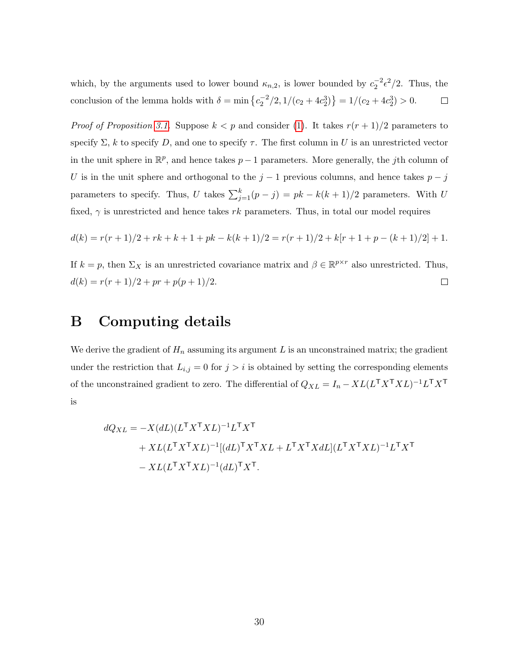which, by the arguments used to lower bound  $\kappa_{n,2}$ , is lower bounded by  $c_2^{-2} \epsilon^2/2$ . Thus, the conclusion of the lemma holds with  $\delta = \min \left\{ \frac{c_2^2}{2}, \frac{1}{c_2 + 4c_2^3} \right\} = \frac{1}{c_2 + 4c_2^3} > 0.$  $\Box$ 

*Proof of Proposition [3.1.](#page-12-2)* Suppose  $k < p$  and consider [\(1\)](#page-2-0). It takes  $r(r + 1)/2$  parameters to specify  $\Sigma$ , k to specify D, and one to specify  $\tau$ . The first column in U is an unrestricted vector in the unit sphere in  $\mathbb{R}^p$ , and hence takes  $p-1$  parameters. More generally, the *j*th column of U is in the unit sphere and orthogonal to the  $j-1$  previous columns, and hence takes  $p - j$ parameters to specify. Thus, U takes  $\sum_{j=1}^{k} (p-j) = pk - k(k+1)/2$  parameters. With U fixed,  $\gamma$  is unrestricted and hence takes rk parameters. Thus, in total our model requires

$$
d(k) = r(r+1)/2 + rk + k + 1 + pk - k(k+1)/2 = r(r+1)/2 + k[r+1+p-(k+1)/2] + 1.
$$

If  $k = p$ , then  $\Sigma_X$  is an unrestricted covariance matrix and  $\beta \in \mathbb{R}^{p \times r}$  also unrestricted. Thus,  $d(k) = r(r + 1)/2 + pr + p(p + 1)/2.$  $\Box$ 

### <span id="page-29-0"></span>B Computing details

We derive the gradient of  $H_n$  assuming its argument L is an unconstrained matrix; the gradient under the restriction that  $L_{i,j} = 0$  for  $j > i$  is obtained by setting the corresponding elements of the unconstrained gradient to zero. The differential of  $Q_{XL} = I_n - XL(L^{\mathsf{T}}X^{\mathsf{T}}XL)^{-1}L^{\mathsf{T}}X^{\mathsf{T}}$ is

$$
dQ_{XL} = -X(dL)(L^{\mathsf{T}}X^{\mathsf{T}}XL)^{-1}L^{\mathsf{T}}X^{\mathsf{T}}
$$
  
+ 
$$
XL(L^{\mathsf{T}}X^{\mathsf{T}}XL)^{-1}[(dL)^{\mathsf{T}}X^{\mathsf{T}}XL + L^{\mathsf{T}}X^{\mathsf{T}}XdL](L^{\mathsf{T}}X^{\mathsf{T}}XL)^{-1}L^{\mathsf{T}}X^{\mathsf{T}}
$$
  
- 
$$
XL(L^{\mathsf{T}}X^{\mathsf{T}}XL)^{-1}(dL)^{\mathsf{T}}X^{\mathsf{T}}.
$$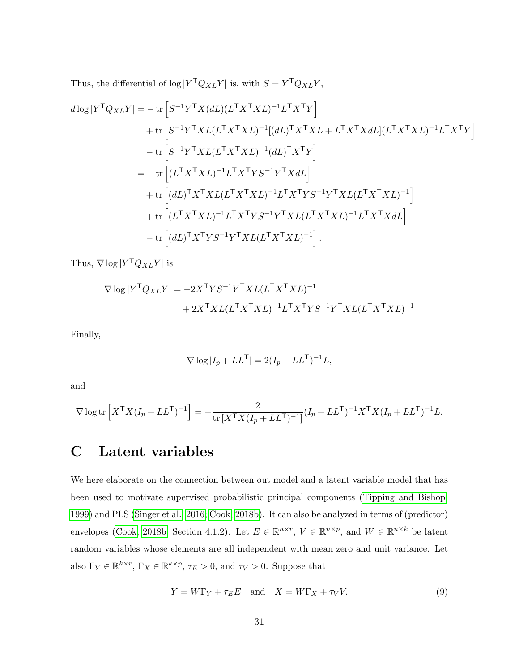Thus, the differential of  $\log |Y^{\mathsf{T}}Q_{XL}Y|$  is, with  $S = Y^{\mathsf{T}}Q_{XL}Y$ ,

$$
d\log|Y^{\mathsf{T}}Q_{XL}Y| = -\operatorname{tr}\left[S^{-1}Y^{\mathsf{T}}X(dL)(L^{\mathsf{T}}X^{\mathsf{T}}XL)^{-1}L^{\mathsf{T}}X^{\mathsf{T}}Y\right]
$$
  
+ 
$$
\operatorname{tr}\left[S^{-1}Y^{\mathsf{T}}XL(L^{\mathsf{T}}X^{\mathsf{T}}XL)^{-1}[(dL)^{\mathsf{T}}X^{\mathsf{T}}XL + L^{\mathsf{T}}X^{\mathsf{T}}XdL](L^{\mathsf{T}}X^{\mathsf{T}}XL)^{-1}L^{\mathsf{T}}X^{\mathsf{T}}Y\right]
$$
  
- 
$$
\operatorname{tr}\left[S^{-1}Y^{\mathsf{T}}XL(L^{\mathsf{T}}X^{\mathsf{T}}XL)^{-1}(dL)^{\mathsf{T}}X^{\mathsf{T}}Y\right]
$$
  
= 
$$
-\operatorname{tr}\left[(L^{\mathsf{T}}X^{\mathsf{T}}XL)^{-1}L^{\mathsf{T}}X^{\mathsf{T}}YS^{-1}Y^{\mathsf{T}}XdL\right]
$$
  
+ 
$$
\operatorname{tr}\left[(dL)^{\mathsf{T}}X^{\mathsf{T}}XL(L^{\mathsf{T}}X^{\mathsf{T}}XL)^{-1}L^{\mathsf{T}}X^{\mathsf{T}}YS^{-1}Y^{\mathsf{T}}XL(L^{\mathsf{T}}X^{\mathsf{T}}XL)^{-1}\right]
$$
  
+ 
$$
\operatorname{tr}\left[(L^{\mathsf{T}}X^{\mathsf{T}}XL)^{-1}L^{\mathsf{T}}X^{\mathsf{T}}YS^{-1}Y^{\mathsf{T}}XL(L^{\mathsf{T}}X^{\mathsf{T}}XL)^{-1}L^{\mathsf{T}}X^{\mathsf{T}}XdL\right]
$$
  
- 
$$
\operatorname{tr}\left[(dL)^{\mathsf{T}}X^{\mathsf{T}}YS^{-1}Y^{\mathsf{T}}XL(L^{\mathsf{T}}X^{\mathsf{T}}XL)^{-1}\right].
$$

Thus,  $\nabla \log |Y^{\mathsf{T}} Q_{XL} Y|$  is

$$
\nabla \log |Y^{\mathsf{T}} Q_{XL} Y| = -2X^{\mathsf{T}} Y S^{-1} Y^{\mathsf{T}} X L (L^{\mathsf{T}} X^{\mathsf{T}} X L)^{-1} + 2X^{\mathsf{T}} X L (L^{\mathsf{T}} X^{\mathsf{T}} X L)^{-1} L^{\mathsf{T}} X^{\mathsf{T}} Y S^{-1} Y^{\mathsf{T}} X L (L^{\mathsf{T}} X^{\mathsf{T}} X L)^{-1}
$$

Finally,

$$
\nabla \log |I_p + LL^{\mathsf{T}}| = 2(I_p + LL^{\mathsf{T}})^{-1}L,
$$

and

$$
\nabla \log \text{tr}\left[ X^{\mathsf{T}} X (I_p + LL^{\mathsf{T}})^{-1} \right] = -\frac{2}{\text{tr}\left[ X^{\mathsf{T}} X (I_p + LL^{\mathsf{T}})^{-1} \right]} (I_p + LL^{\mathsf{T}})^{-1} X^{\mathsf{T}} X (I_p + LL^{\mathsf{T}})^{-1} L.
$$

## <span id="page-30-0"></span>C Latent variables

We here elaborate on the connection between out model and a latent variable model that has been used to motivate supervised probabilistic principal components [\(Tipping and Bishop,](#page-34-6) [1999\)](#page-34-6) and PLS [\(Singer et al., 2016;](#page-34-2) [Cook, 2018b\)](#page-32-9). It can also be analyzed in terms of (predictor) envelopes [\(Cook, 2018b,](#page-32-9) Section 4.1.2). Let  $E \in \mathbb{R}^{n \times r}$ ,  $V \in \mathbb{R}^{n \times p}$ , and  $W \in \mathbb{R}^{n \times k}$  be latent random variables whose elements are all independent with mean zero and unit variance. Let also  $\Gamma_Y \in \mathbb{R}^{k \times r}$ ,  $\Gamma_X \in \mathbb{R}^{k \times p}$ ,  $\tau_E > 0$ , and  $\tau_V > 0$ . Suppose that

<span id="page-30-1"></span>
$$
Y = W\Gamma_Y + \tau_E E \quad \text{and} \quad X = W\Gamma_X + \tau_V V. \tag{9}
$$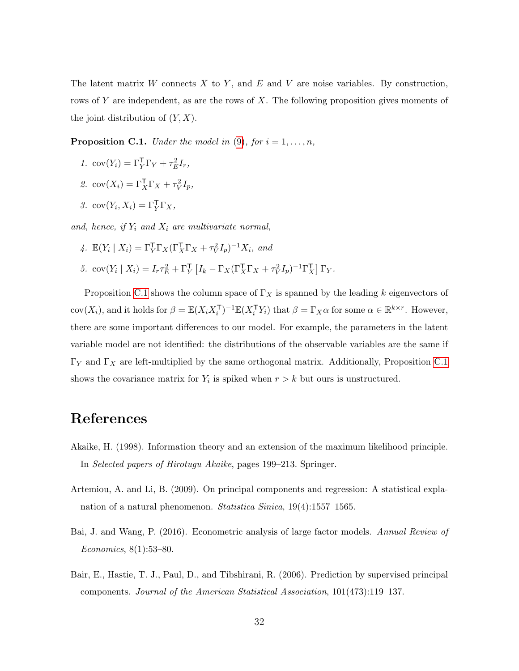The latent matrix  $W$  connects  $X$  to  $Y$ , and  $E$  and  $V$  are noise variables. By construction, rows of Y are independent, as are the rows of X. The following proposition gives moments of the joint distribution of  $(Y, X)$ .

<span id="page-31-4"></span>**Proposition C.1.** Under the model in  $(9)$ , for  $i = 1, \ldots, n$ ,

- 1.  $cov(Y_i) = \Gamma_Y^{\mathsf{T}} \Gamma_Y + \tau_E^2 I_r$ ,
- 2.  $cov(X_i) = \Gamma_X^T \Gamma_X + \tau_V^2 I_p$ ,
- 3.  $cov(Y_i, X_i) = \Gamma_Y^{\mathsf{T}} \Gamma_X$ ,

and, hence, if  $Y_i$  and  $X_i$  are multivariate normal,

- 4.  $\mathbb{E}(Y_i \mid X_i) = \Gamma_Y^{\mathsf{T}} \Gamma_X (\Gamma_X^{\mathsf{T}} \Gamma_X + \tau_V^2 I_p)^{-1} X_i$ , and
- 5.  $\text{cov}(Y_i \mid X_i) = I_r \tau_E^2 + \Gamma_Y^{\mathsf{T}} \left[ I_k \Gamma_X (\Gamma_X^{\mathsf{T}} \Gamma_X + \tau_V^2 I_p)^{-1} \Gamma_X^{\mathsf{T}} \right] \Gamma_Y.$

Proposition [C.1](#page-31-4) shows the column space of  $\Gamma_X$  is spanned by the leading k eigenvectors of cov $(X_i)$ , and it holds for  $\beta = \mathbb{E}(X_i X_i^{\mathsf{T}})^{-1} \mathbb{E}(X_i^{\mathsf{T}} Y_i)$  that  $\beta = \Gamma_X \alpha$  for some  $\alpha \in \mathbb{R}^{k \times r}$ . However, there are some important differences to our model. For example, the parameters in the latent variable model are not identified: the distributions of the observable variables are the same if  $Γ_Y$  and  $Γ_X$  are left-multiplied by the same orthogonal matrix. Additionally, Proposition [C.1](#page-31-4) shows the covariance matrix for  $Y_i$  is spiked when  $r > k$  but ours is unstructured.

### References

- <span id="page-31-3"></span>Akaike, H. (1998). Information theory and an extension of the maximum likelihood principle. In Selected papers of Hirotugu Akaike, pages 199–213. Springer.
- <span id="page-31-2"></span>Artemiou, A. and Li, B. (2009). On principal components and regression: A statistical explanation of a natural phenomenon. Statistica Sinica, 19(4):1557–1565.
- <span id="page-31-1"></span>Bai, J. and Wang, P. (2016). Econometric analysis of large factor models. Annual Review of Economics, 8(1):53–80.
- <span id="page-31-0"></span>Bair, E., Hastie, T. J., Paul, D., and Tibshirani, R. (2006). Prediction by supervised principal components. Journal of the American Statistical Association, 101(473):119–137.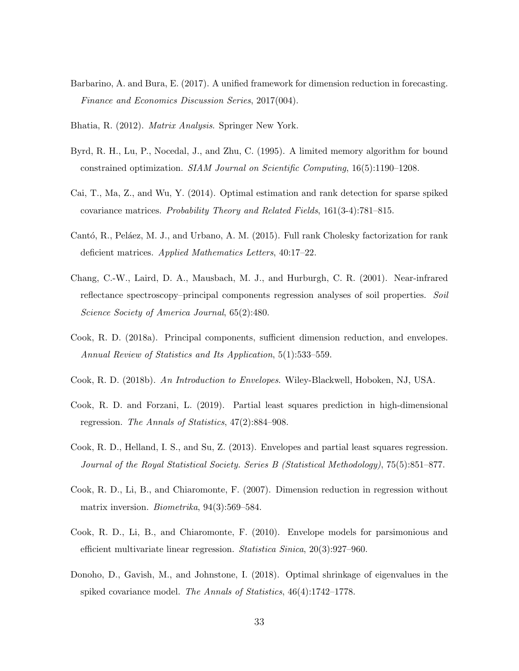- <span id="page-32-2"></span>Barbarino, A. and Bura, E. (2017). A unified framework for dimension reduction in forecasting. Finance and Economics Discussion Series, 2017(004).
- <span id="page-32-12"></span>Bhatia, R. (2012). Matrix Analysis. Springer New York.
- <span id="page-32-11"></span>Byrd, R. H., Lu, P., Nocedal, J., and Zhu, C. (1995). A limited memory algorithm for bound constrained optimization. SIAM Journal on Scientific Computing, 16(5):1190–1208.
- <span id="page-32-5"></span>Cai, T., Ma, Z., and Wu, Y. (2014). Optimal estimation and rank detection for sparse spiked covariance matrices. Probability Theory and Related Fields, 161(3-4):781–815.
- <span id="page-32-10"></span>Cantó, R., Peláez, M. J., and Urbano, A. M. (2015). Full rank Cholesky factorization for rank deficient matrices. Applied Mathematics Letters, 40:17–22.
- <span id="page-32-1"></span>Chang, C.-W., Laird, D. A., Mausbach, M. J., and Hurburgh, C. R. (2001). Near-infrared reflectance spectroscopy–principal components regression analyses of soil properties. Soil Science Society of America Journal, 65(2):480.
- <span id="page-32-0"></span>Cook, R. D. (2018a). Principal components, sufficient dimension reduction, and envelopes. Annual Review of Statistics and Its Application, 5(1):533–559.
- <span id="page-32-9"></span>Cook, R. D. (2018b). An Introduction to Envelopes. Wiley-Blackwell, Hoboken, NJ, USA.
- <span id="page-32-8"></span>Cook, R. D. and Forzani, L. (2019). Partial least squares prediction in high-dimensional regression. The Annals of Statistics, 47(2):884–908.
- <span id="page-32-4"></span>Cook, R. D., Helland, I. S., and Su, Z. (2013). Envelopes and partial least squares regression. Journal of the Royal Statistical Society. Series B (Statistical Methodology), 75(5):851–877.
- <span id="page-32-7"></span>Cook, R. D., Li, B., and Chiaromonte, F. (2007). Dimension reduction in regression without matrix inversion. *Biometrika*, 94(3):569–584.
- <span id="page-32-3"></span>Cook, R. D., Li, B., and Chiaromonte, F. (2010). Envelope models for parsimonious and efficient multivariate linear regression. Statistica Sinica, 20(3):927–960.
- <span id="page-32-6"></span>Donoho, D., Gavish, M., and Johnstone, I. (2018). Optimal shrinkage of eigenvalues in the spiked covariance model. The Annals of Statistics, 46(4):1742–1778.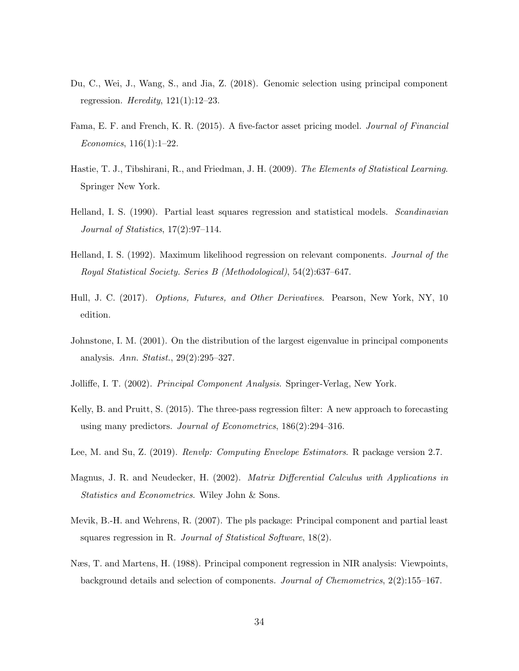- <span id="page-33-2"></span>Du, C., Wei, J., Wang, S., and Jia, Z. (2018). Genomic selection using principal component regression. Heredity,  $121(1):12-23$ .
- <span id="page-33-10"></span>Fama, E. F. and French, K. R. (2015). A five-factor asset pricing model. Journal of Financial Economics, 116(1):1–22.
- <span id="page-33-11"></span>Hastie, T. J., Tibshirani, R., and Friedman, J. H. (2009). The Elements of Statistical Learning. Springer New York.
- <span id="page-33-6"></span>Helland, I. S. (1990). Partial least squares regression and statistical models. *Scandinavian* Journal of Statistics, 17(2):97–114.
- <span id="page-33-3"></span>Helland, I. S. (1992). Maximum likelihood regression on relevant components. Journal of the Royal Statistical Society. Series B (Methodological), 54(2):637–647.
- <span id="page-33-9"></span>Hull, J. C. (2017). Options, Futures, and Other Derivatives. Pearson, New York, NY, 10 edition.
- <span id="page-33-5"></span>Johnstone, I. M. (2001). On the distribution of the largest eigenvalue in principal components analysis. Ann. Statist., 29(2):295–327.
- <span id="page-33-0"></span>Jolliffe, I. T. (2002). Principal Component Analysis. Springer-Verlag, New York.
- <span id="page-33-4"></span>Kelly, B. and Pruitt, S. (2015). The three-pass regression filter: A new approach to forecasting using many predictors. Journal of Econometrics, 186(2):294–316.
- <span id="page-33-8"></span>Lee, M. and Su, Z. (2019). Renvlp: Computing Envelope Estimators. R package version 2.7.
- <span id="page-33-12"></span>Magnus, J. R. and Neudecker, H. (2002). *Matrix Differential Calculus with Applications in* Statistics and Econometrics. Wiley John & Sons.
- <span id="page-33-7"></span>Mevik, B.-H. and Wehrens, R. (2007). The pls package: Principal component and partial least squares regression in R. Journal of Statistical Software, 18(2).
- <span id="page-33-1"></span>Næs, T. and Martens, H. (1988). Principal component regression in NIR analysis: Viewpoints, background details and selection of components. Journal of Chemometrics, 2(2):155–167.